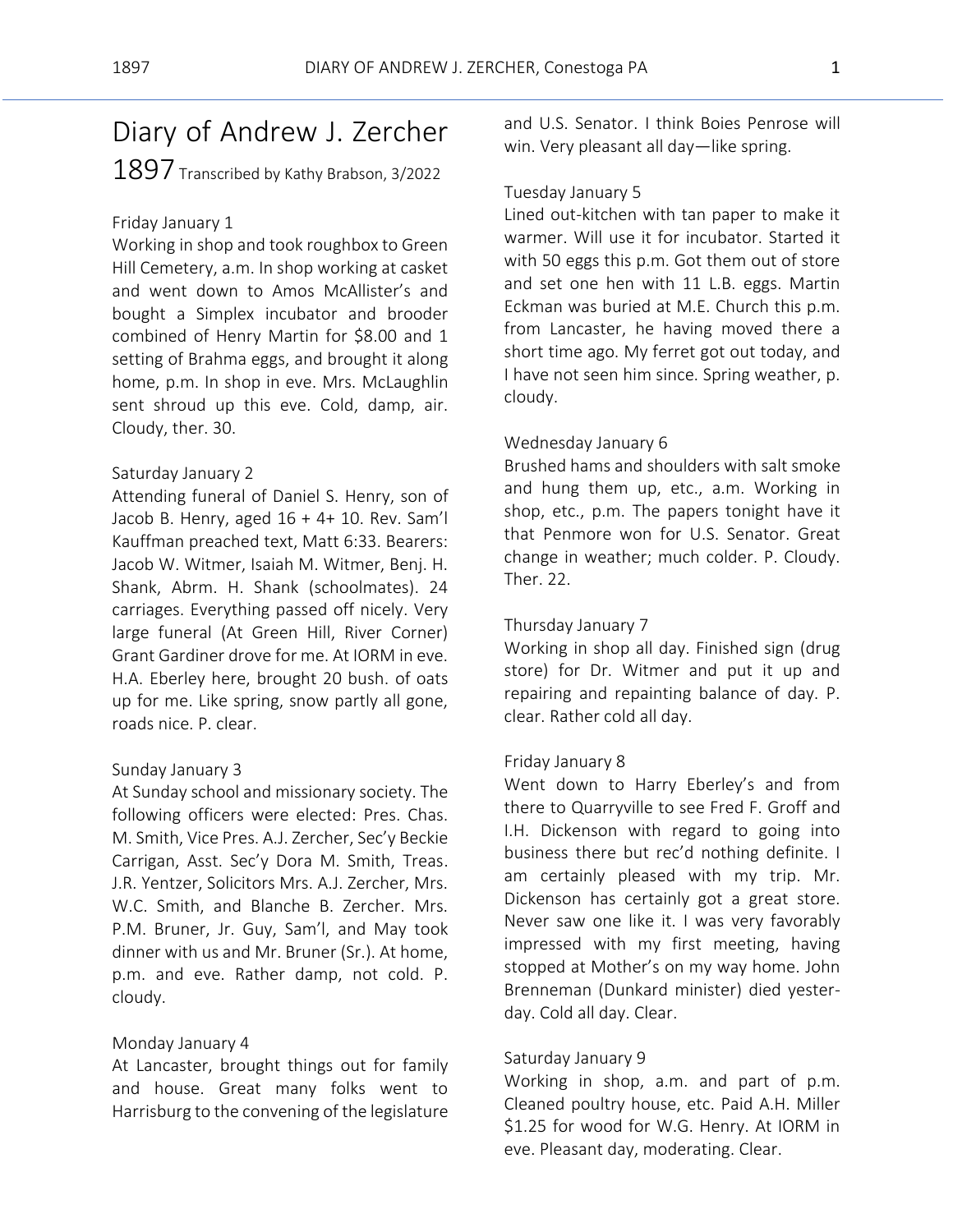# Diary of Andrew J. Zercher  $1897$  Transcribed by Kathy Brabson, 3/2022

# Friday January 1

Working in shop and took roughbox to Green Hill Cemetery, a.m. In shop working at casket and went down to Amos McAllister's and bought a Simplex incubator and brooder combined of Henry Martin for \$8.00 and 1 setting of Brahma eggs, and brought it along home, p.m. In shop in eve. Mrs. McLaughlin sent shroud up this eve. Cold, damp, air. Cloudy, ther. 30.

# Saturday January 2

Attending funeral of Daniel S. Henry, son of Jacob B. Henry, aged  $16 + 4 + 10$ . Rev. Sam'l Kauffman preached text, Matt 6:33. Bearers: Jacob W. Witmer, Isaiah M. Witmer, Benj. H. Shank, Abrm. H. Shank (schoolmates). 24 carriages. Everything passed off nicely. Very large funeral (At Green Hill, River Corner) Grant Gardiner drove for me. At IORM in eve. H.A. Eberley here, brought 20 bush. of oats up for me. Like spring, snow partly all gone, roads nice. P. clear.

# Sunday January 3

At Sunday school and missionary society. The following officers were elected: Pres. Chas. M. Smith, Vice Pres. A.J. Zercher, Sec'y Beckie Carrigan, Asst. Sec'y Dora M. Smith, Treas. J.R. Yentzer, Solicitors Mrs. A.J. Zercher, Mrs. W.C. Smith, and Blanche B. Zercher. Mrs. P.M. Bruner, Jr. Guy, Sam'l, and May took dinner with us and Mr. Bruner (Sr.). At home, p.m. and eve. Rather damp, not cold. P. cloudy.

# Monday January 4

At Lancaster, brought things out for family and house. Great many folks went to Harrisburg to the convening of the legislature and U.S. Senator. I think Boies Penrose will win. Very pleasant all day—like spring.

# Tuesday January 5

Lined out-kitchen with tan paper to make it warmer. Will use it for incubator. Started it with 50 eggs this p.m. Got them out of store and set one hen with 11 L.B. eggs. Martin Eckman was buried at M.E. Church this p.m. from Lancaster, he having moved there a short time ago. My ferret got out today, and I have not seen him since. Spring weather, p. cloudy.

# Wednesday January 6

Brushed hams and shoulders with salt smoke and hung them up, etc., a.m. Working in shop, etc., p.m. The papers tonight have it that Penmore won for U.S. Senator. Great change in weather; much colder. P. Cloudy. Ther. 22.

# Thursday January 7

Working in shop all day. Finished sign (drug store) for Dr. Witmer and put it up and repairing and repainting balance of day. P. clear. Rather cold all day.

# Friday January 8

Went down to Harry Eberley's and from there to Quarryville to see Fred F. Groff and I.H. Dickenson with regard to going into business there but rec'd nothing definite. I am certainly pleased with my trip. Mr. Dickenson has certainly got a great store. Never saw one like it. I was very favorably impressed with my first meeting, having stopped at Mother's on my way home. John Brenneman (Dunkard minister) died yesterday. Cold all day. Clear.

# Saturday January 9

Working in shop, a.m. and part of p.m. Cleaned poultry house, etc. Paid A.H. Miller \$1.25 for wood for W.G. Henry. At IORM in eve. Pleasant day, moderating. Clear.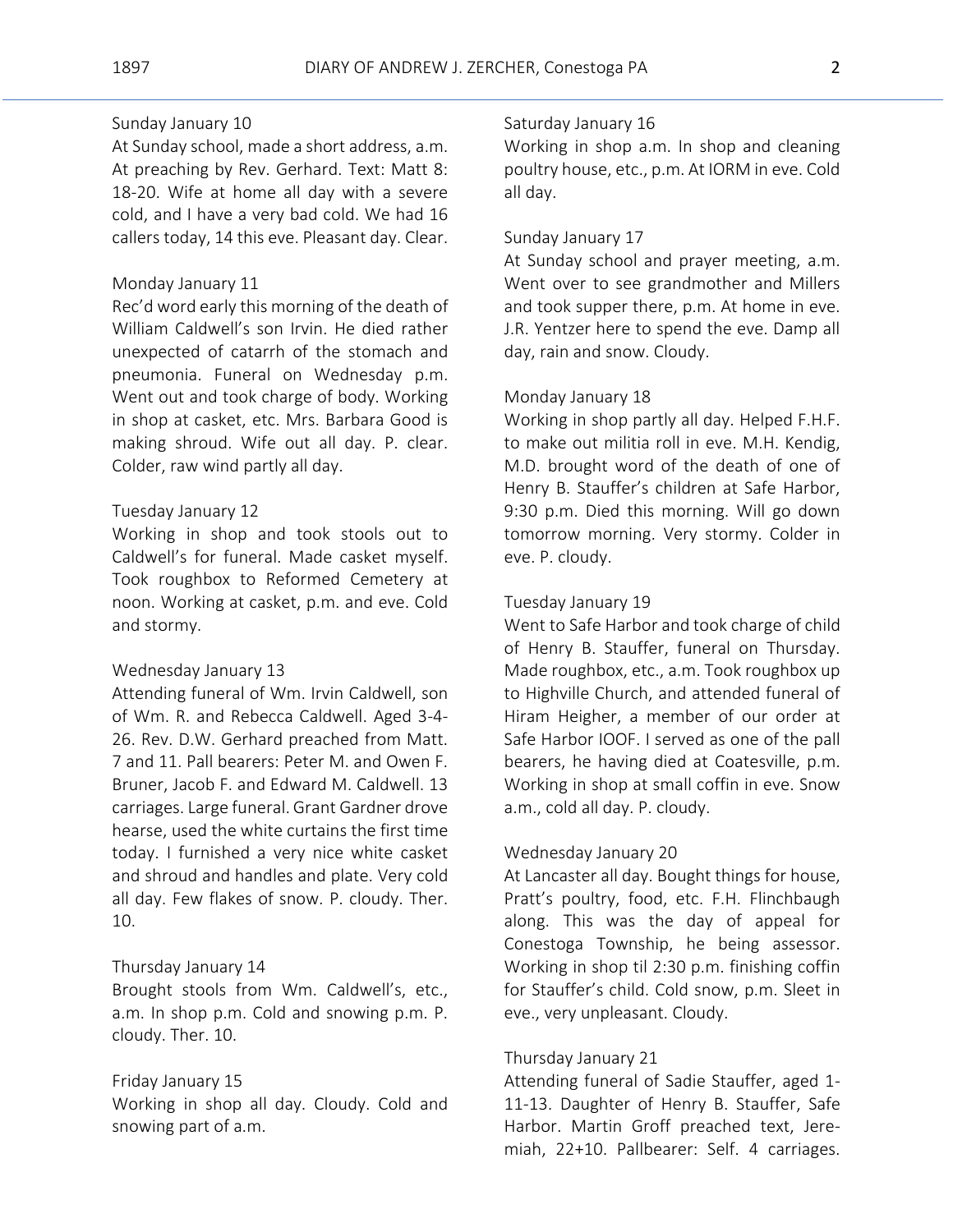# Sunday January 10

At Sunday school, made a short address, a.m. At preaching by Rev. Gerhard. Text: Matt 8: 18-20. Wife at home all day with a severe cold, and I have a very bad cold. We had 16 callers today, 14 this eve. Pleasant day. Clear.

# Monday January 11

Rec'd word early this morning of the death of William Caldwell's son Irvin. He died rather unexpected of catarrh of the stomach and pneumonia. Funeral on Wednesday p.m. Went out and took charge of body. Working in shop at casket, etc. Mrs. Barbara Good is making shroud. Wife out all day. P. clear. Colder, raw wind partly all day.

#### Tuesday January 12

Working in shop and took stools out to Caldwell's for funeral. Made casket myself. Took roughbox to Reformed Cemetery at noon. Working at casket, p.m. and eve. Cold and stormy.

#### Wednesday January 13

Attending funeral of Wm. Irvin Caldwell, son of Wm. R. and Rebecca Caldwell. Aged 3-4- 26. Rev. D.W. Gerhard preached from Matt. 7 and 11. Pall bearers: Peter M. and Owen F. Bruner, Jacob F. and Edward M. Caldwell. 13 carriages. Large funeral. Grant Gardner drove hearse, used the white curtains the first time today. I furnished a very nice white casket and shroud and handles and plate. Very cold all day. Few flakes of snow. P. cloudy. Ther. 10.

# Thursday January 14

Brought stools from Wm. Caldwell's, etc., a.m. In shop p.m. Cold and snowing p.m. P. cloudy. Ther. 10.

# Friday January 15

Working in shop all day. Cloudy. Cold and snowing part of a.m.

# Saturday January 16

Working in shop a.m. In shop and cleaning poultry house, etc., p.m. At IORM in eve. Cold all day.

### Sunday January 17

At Sunday school and prayer meeting, a.m. Went over to see grandmother and Millers and took supper there, p.m. At home in eve. J.R. Yentzer here to spend the eve. Damp all day, rain and snow. Cloudy.

#### Monday January 18

Working in shop partly all day. Helped F.H.F. to make out militia roll in eve. M.H. Kendig, M.D. brought word of the death of one of Henry B. Stauffer's children at Safe Harbor, 9:30 p.m. Died this morning. Will go down tomorrow morning. Very stormy. Colder in eve. P. cloudy.

#### Tuesday January 19

Went to Safe Harbor and took charge of child of Henry B. Stauffer, funeral on Thursday. Made roughbox, etc., a.m. Took roughbox up to Highville Church, and attended funeral of Hiram Heigher, a member of our order at Safe Harbor IOOF. I served as one of the pall bearers, he having died at Coatesville, p.m. Working in shop at small coffin in eve. Snow a.m., cold all day. P. cloudy.

#### Wednesday January 20

At Lancaster all day. Bought things for house, Pratt's poultry, food, etc. F.H. Flinchbaugh along. This was the day of appeal for Conestoga Township, he being assessor. Working in shop til 2:30 p.m. finishing coffin for Stauffer's child. Cold snow, p.m. Sleet in eve., very unpleasant. Cloudy.

#### Thursday January 21

Attending funeral of Sadie Stauffer, aged 1- 11-13. Daughter of Henry B. Stauffer, Safe Harbor. Martin Groff preached text, Jeremiah, 22+10. Pallbearer: Self. 4 carriages.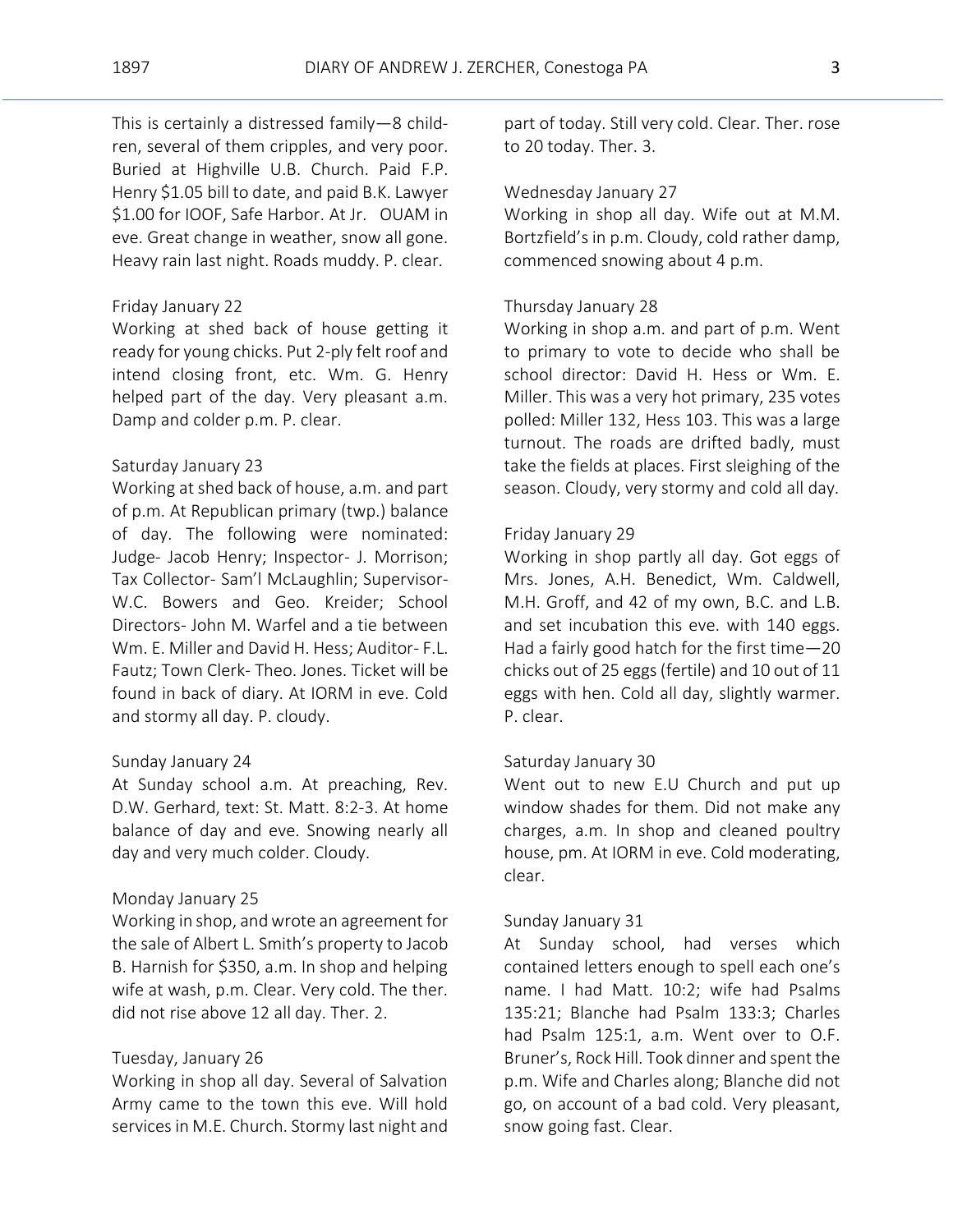This is certainly a distressed family—8 children, several of them cripples, and very poor. Buried at Highville U.B. Church. Paid F.P. Henry \$1.05 bill to date, and paid B.K. Lawyer \$1.00 for IOOF, Safe Harbor. At Jr. OUAM in eve. Great change in weather, snow all gone. Heavy rain last night. Roads muddy. P. clear.

# Friday January 22

Working at shed back of house getting it ready for young chicks. Put 2-ply felt roof and intend closing front, etc. Wm. G. Henry helped part of the day. Very pleasant a.m. Damp and colder p.m. P. clear.

# Saturday January 23

Working at shed back of house, a.m. and part of p.m. At Republican primary (twp.) balance of day. The following were nominated: Judge- Jacob Henry; Inspector- J. Morrison; Tax Collector- Sam'l McLaughlin; Supervisor-W.C. Bowers and Geo. Kreider; School Directors- John M. Warfel and a tie between Wm. E. Miller and David H. Hess; Auditor- F.L. Fautz; Town Clerk- Theo. Jones. Ticket will be found in back of diary. At IORM in eve. Cold and stormy all day. P. cloudy.

#### Sunday January 24

At Sunday school a.m. At preaching, Rev. D.W. Gerhard, text: St. Matt. 8:2-3. At home balance of day and eve. Snowing nearly all day and very much colder. Cloudy.

#### Monday January 25

Working in shop, and wrote an agreement for the sale of Albert L. Smith's property to Jacob B. Harnish for \$350, a.m. In shop and helping wife at wash, p.m. Clear. Very cold. The ther. did not rise above 12 all day. Ther. 2.

#### Tuesday, January 26

Working in shop all day. Several of Salvation Army came to the town this eve. Will hold services in M.E. Church. Stormy last night and

part of today. Still very cold. Clear. Ther. rose to 20 today. Ther. 3.

# Wednesday January 27

Working in shop all day. Wife out at M.M. Bortzfield's in p.m. Cloudy, cold rather damp, commenced snowing about 4 p.m.

# Thursday January 28

Working in shop a.m. and part of p.m. Went to primary to vote to decide who shall be school director: David H. Hess or Wm. E. Miller. This was a very hot primary, 235 votes polled: Miller 132, Hess 103. This was a large turnout. The roads are drifted badly, must take the fields at places. First sleighing of the season. Cloudy, very stormy and cold all day.

# Friday January 29

Working in shop partly all day. Got eggs of Mrs. Jones, A.H. Benedict, Wm. Caldwell, M.H. Groff, and 42 of my own, B.C. and L.B. and set incubation this eve. with 140 eggs. Had a fairly good hatch for the first time—20 chicks out of 25 eggs (fertile) and 10 out of 11 eggs with hen. Cold all day, slightly warmer. P. clear.

# Saturday January 30

Went out to new E.U Church and put up window shades for them. Did not make any charges, a.m. In shop and cleaned poultry house, pm. At IORM in eve. Cold moderating, clear.

#### Sunday January 31

At Sunday school, had verses which contained letters enough to spell each one's name. I had Matt. 10:2; wife had Psalms 135:21; Blanche had Psalm 133:3; Charles had Psalm 125:1, a.m. Went over to O.F. Bruner's, Rock Hill. Took dinner and spent the p.m. Wife and Charles along; Blanche did not go, on account of a bad cold. Very pleasant, snow going fast. Clear.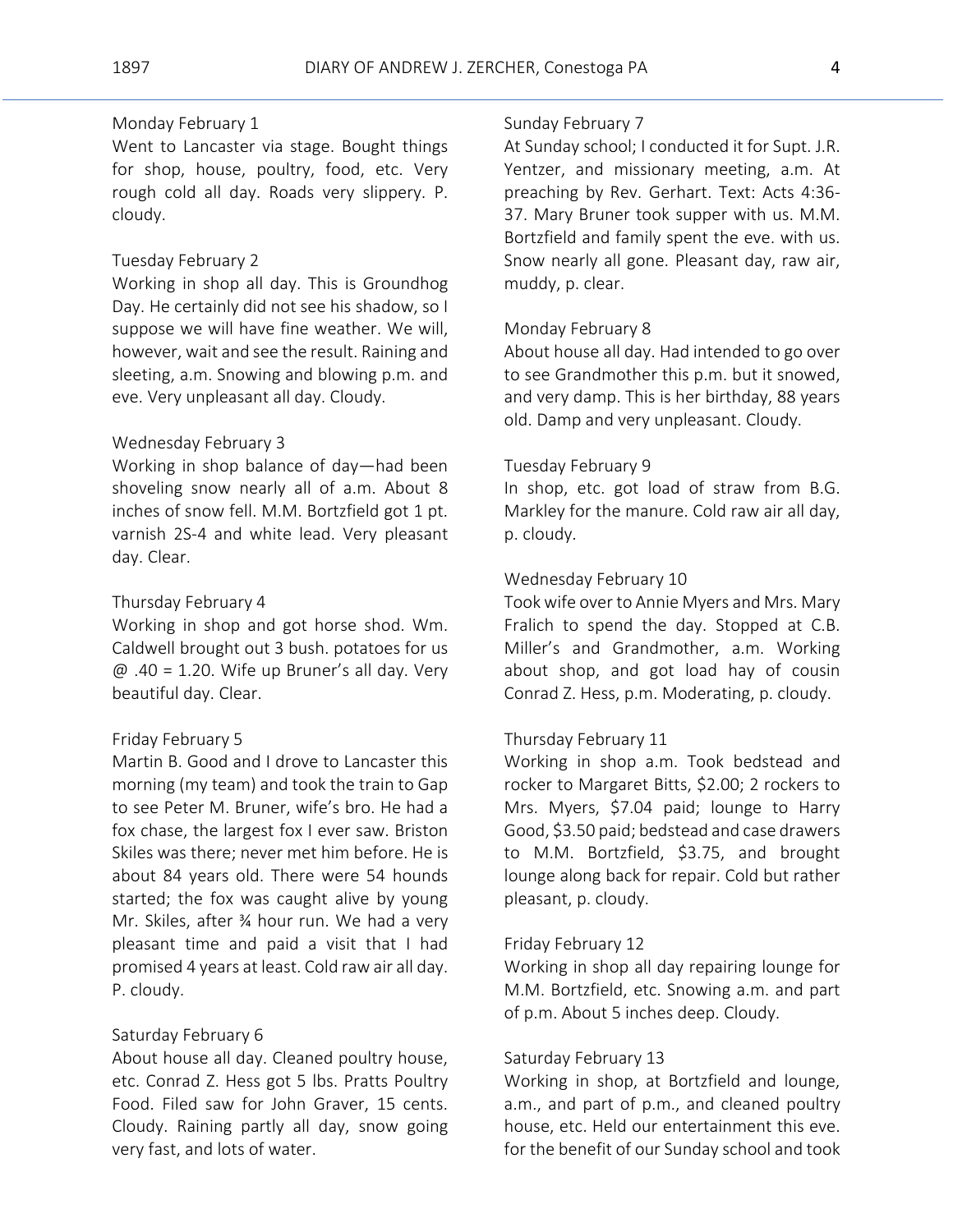# Monday February 1

Went to Lancaster via stage. Bought things for shop, house, poultry, food, etc. Very rough cold all day. Roads very slippery. P. cloudy.

# Tuesday February 2

Working in shop all day. This is Groundhog Day. He certainly did not see his shadow, so I suppose we will have fine weather. We will, however, wait and see the result. Raining and sleeting, a.m. Snowing and blowing p.m. and eve. Very unpleasant all day. Cloudy.

#### Wednesday February 3

Working in shop balance of day—had been shoveling snow nearly all of a.m. About 8 inches of snow fell. M.M. Bortzfield got 1 pt. varnish 2S-4 and white lead. Very pleasant day. Clear.

# Thursday February 4

Working in shop and got horse shod. Wm. Caldwell brought out 3 bush. potatoes for us  $\omega$  .40 = 1.20. Wife up Bruner's all day. Very beautiful day. Clear.

#### Friday February 5

Martin B. Good and I drove to Lancaster this morning (my team) and took the train to Gap to see Peter M. Bruner, wife's bro. He had a fox chase, the largest fox I ever saw. Briston Skiles was there; never met him before. He is about 84 years old. There were 54 hounds started; the fox was caught alive by young Mr. Skiles, after ¾ hour run. We had a very pleasant time and paid a visit that I had promised 4 years at least. Cold raw air all day. P. cloudy.

# Saturday February 6

About house all day. Cleaned poultry house, etc. Conrad Z. Hess got 5 lbs. Pratts Poultry Food. Filed saw for John Graver, 15 cents. Cloudy. Raining partly all day, snow going very fast, and lots of water.

# Sunday February 7

At Sunday school; I conducted it for Supt. J.R. Yentzer, and missionary meeting, a.m. At preaching by Rev. Gerhart. Text: Acts 4:36- 37. Mary Bruner took supper with us. M.M. Bortzfield and family spent the eve. with us. Snow nearly all gone. Pleasant day, raw air, muddy, p. clear.

#### Monday February 8

About house all day. Had intended to go over to see Grandmother this p.m. but it snowed, and very damp. This is her birthday, 88 years old. Damp and very unpleasant. Cloudy.

# Tuesday February 9

In shop, etc. got load of straw from B.G. Markley for the manure. Cold raw air all day, p. cloudy.

## Wednesday February 10

Took wife over to Annie Myers and Mrs. Mary Fralich to spend the day. Stopped at C.B. Miller's and Grandmother, a.m. Working about shop, and got load hay of cousin Conrad Z. Hess, p.m. Moderating, p. cloudy.

# Thursday February 11

Working in shop a.m. Took bedstead and rocker to Margaret Bitts, \$2.00; 2 rockers to Mrs. Myers, \$7.04 paid; lounge to Harry Good, \$3.50 paid; bedstead and case drawers to M.M. Bortzfield, \$3.75, and brought lounge along back for repair. Cold but rather pleasant, p. cloudy.

#### Friday February 12

Working in shop all day repairing lounge for M.M. Bortzfield, etc. Snowing a.m. and part of p.m. About 5 inches deep. Cloudy.

#### Saturday February 13

Working in shop, at Bortzfield and lounge, a.m., and part of p.m., and cleaned poultry house, etc. Held our entertainment this eve. for the benefit of our Sunday school and took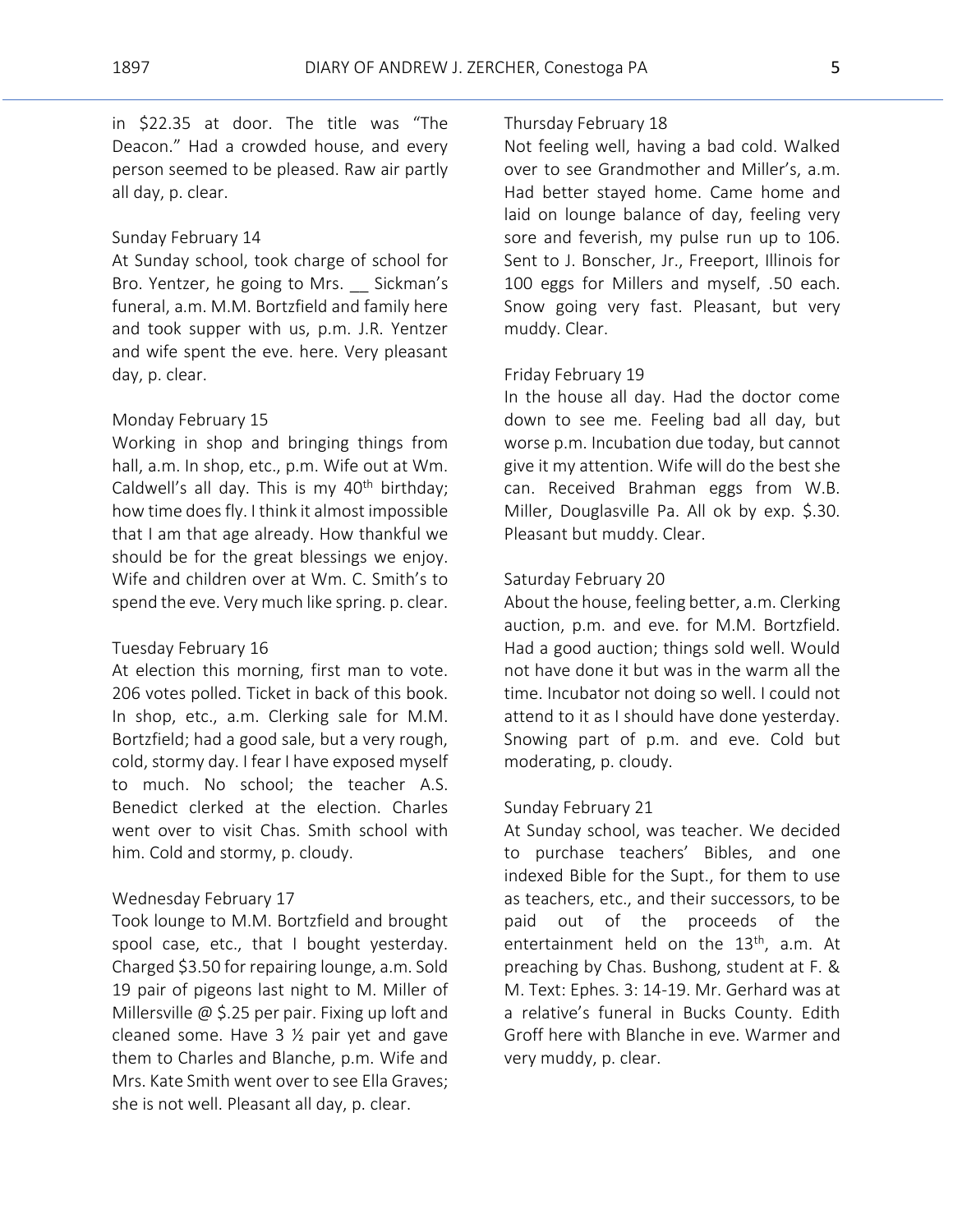in \$22.35 at door. The title was "The Deacon." Had a crowded house, and every person seemed to be pleased. Raw air partly all day, p. clear.

#### Sunday February 14

At Sunday school, took charge of school for Bro. Yentzer, he going to Mrs. \_\_ Sickman's funeral, a.m. M.M. Bortzfield and family here and took supper with us, p.m. J.R. Yentzer and wife spent the eve. here. Very pleasant day, p. clear.

# Monday February 15

Working in shop and bringing things from hall, a.m. In shop, etc., p.m. Wife out at Wm. Caldwell's all day. This is my  $40<sup>th</sup>$  birthday; how time does fly. I think it almost impossible that I am that age already. How thankful we should be for the great blessings we enjoy. Wife and children over at Wm. C. Smith's to spend the eve. Very much like spring. p. clear.

#### Tuesday February 16

At election this morning, first man to vote. 206 votes polled. Ticket in back of this book. In shop, etc., a.m. Clerking sale for M.M. Bortzfield; had a good sale, but a very rough, cold, stormy day. I fear I have exposed myself to much. No school; the teacher A.S. Benedict clerked at the election. Charles went over to visit Chas. Smith school with him. Cold and stormy, p. cloudy.

#### Wednesday February 17

Took lounge to M.M. Bortzfield and brought spool case, etc., that I bought yesterday. Charged \$3.50 for repairing lounge, a.m. Sold 19 pair of pigeons last night to M. Miller of Millersville @ \$.25 per pair. Fixing up loft and cleaned some. Have 3 ½ pair yet and gave them to Charles and Blanche, p.m. Wife and Mrs. Kate Smith went over to see Ella Graves; she is not well. Pleasant all day, p. clear.

#### Thursday February 18

Not feeling well, having a bad cold. Walked over to see Grandmother and Miller's, a.m. Had better stayed home. Came home and laid on lounge balance of day, feeling very sore and feverish, my pulse run up to 106. Sent to J. Bonscher, Jr., Freeport, Illinois for 100 eggs for Millers and myself, .50 each. Snow going very fast. Pleasant, but very muddy. Clear.

#### Friday February 19

In the house all day. Had the doctor come down to see me. Feeling bad all day, but worse p.m. Incubation due today, but cannot give it my attention. Wife will do the best she can. Received Brahman eggs from W.B. Miller, Douglasville Pa. All ok by exp. \$.30. Pleasant but muddy. Clear.

## Saturday February 20

About the house, feeling better, a.m. Clerking auction, p.m. and eve. for M.M. Bortzfield. Had a good auction; things sold well. Would not have done it but was in the warm all the time. Incubator not doing so well. I could not attend to it as I should have done yesterday. Snowing part of p.m. and eve. Cold but moderating, p. cloudy.

# Sunday February 21

At Sunday school, was teacher. We decided to purchase teachers' Bibles, and one indexed Bible for the Supt., for them to use as teachers, etc., and their successors, to be paid out of the proceeds of the entertainment held on the  $13<sup>th</sup>$ , a.m. At preaching by Chas. Bushong, student at F. & M. Text: Ephes. 3: 14-19. Mr. Gerhard was at a relative's funeral in Bucks County. Edith Groff here with Blanche in eve. Warmer and very muddy, p. clear.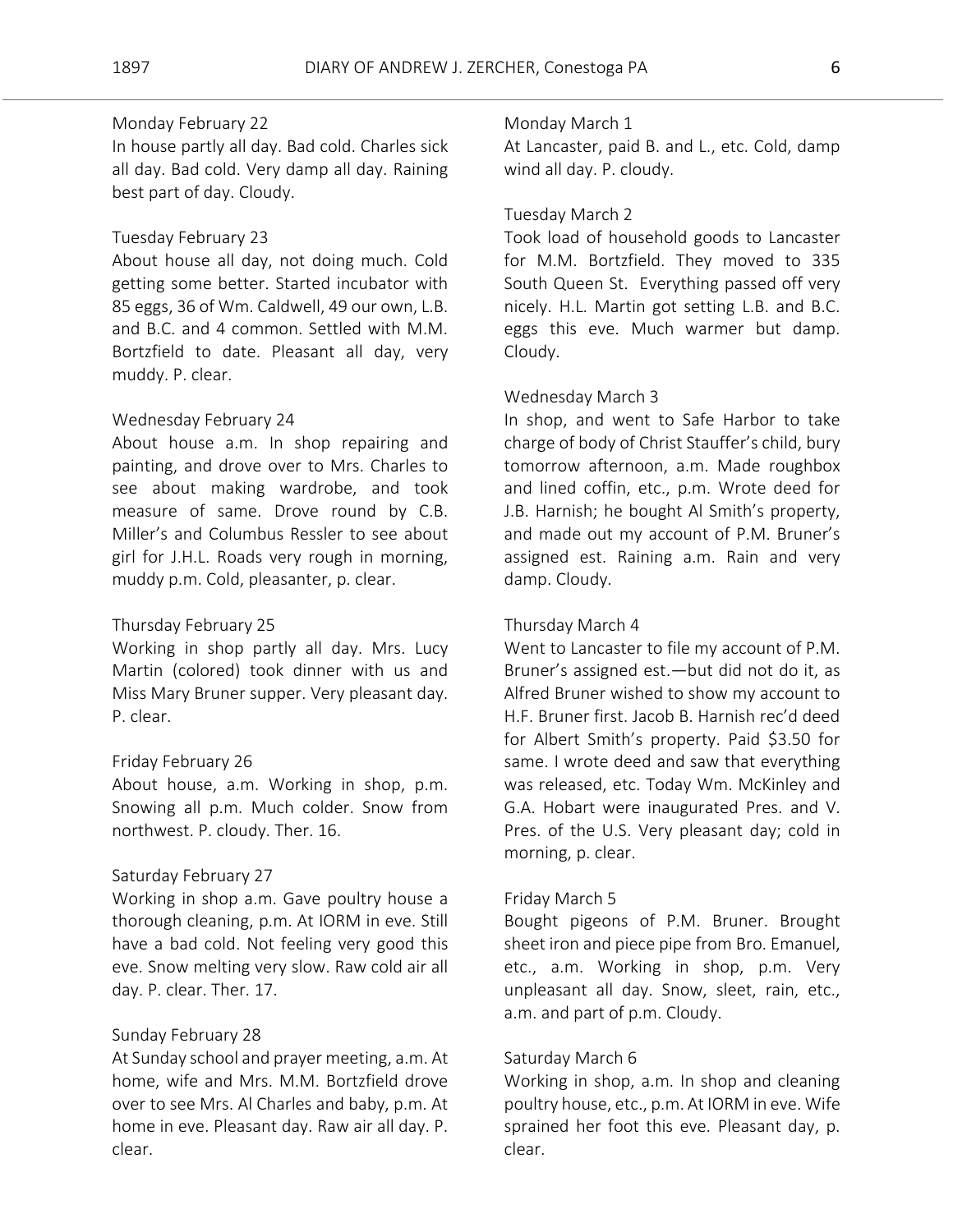# Monday February 22

In house partly all day. Bad cold. Charles sick all day. Bad cold. Very damp all day. Raining best part of day. Cloudy.

#### Tuesday February 23

About house all day, not doing much. Cold getting some better. Started incubator with 85 eggs, 36 of Wm. Caldwell, 49 our own, L.B. and B.C. and 4 common. Settled with M.M. Bortzfield to date. Pleasant all day, very muddy. P. clear.

# Wednesday February 24

About house a.m. In shop repairing and painting, and drove over to Mrs. Charles to see about making wardrobe, and took measure of same. Drove round by C.B. Miller's and Columbus Ressler to see about girl for J.H.L. Roads very rough in morning, muddy p.m. Cold, pleasanter, p. clear.

# Thursday February 25

Working in shop partly all day. Mrs. Lucy Martin (colored) took dinner with us and Miss Mary Bruner supper. Very pleasant day. P. clear.

### Friday February 26

About house, a.m. Working in shop, p.m. Snowing all p.m. Much colder. Snow from northwest. P. cloudy. Ther. 16.

### Saturday February 27

Working in shop a.m. Gave poultry house a thorough cleaning, p.m. At IORM in eve. Still have a bad cold. Not feeling very good this eve. Snow melting very slow. Raw cold air all day. P. clear. Ther. 17.

# Sunday February 28

At Sunday school and prayer meeting, a.m. At home, wife and Mrs. M.M. Bortzfield drove over to see Mrs. Al Charles and baby, p.m. At home in eve. Pleasant day. Raw air all day. P. clear.

#### Monday March 1

At Lancaster, paid B. and L., etc. Cold, damp wind all day. P. cloudy.

# Tuesday March 2

Took load of household goods to Lancaster for M.M. Bortzfield. They moved to 335 South Queen St. Everything passed off very nicely. H.L. Martin got setting L.B. and B.C. eggs this eve. Much warmer but damp. Cloudy.

#### Wednesday March 3

In shop, and went to Safe Harbor to take charge of body of Christ Stauffer's child, bury tomorrow afternoon, a.m. Made roughbox and lined coffin, etc., p.m. Wrote deed for J.B. Harnish; he bought Al Smith's property, and made out my account of P.M. Bruner's assigned est. Raining a.m. Rain and very damp. Cloudy.

# Thursday March 4

Went to Lancaster to file my account of P.M. Bruner's assigned est.—but did not do it, as Alfred Bruner wished to show my account to H.F. Bruner first. Jacob B. Harnish rec'd deed for Albert Smith's property. Paid \$3.50 for same. I wrote deed and saw that everything was released, etc. Today Wm. McKinley and G.A. Hobart were inaugurated Pres. and V. Pres. of the U.S. Very pleasant day; cold in morning, p. clear.

#### Friday March 5

Bought pigeons of P.M. Bruner. Brought sheet iron and piece pipe from Bro. Emanuel, etc., a.m. Working in shop, p.m. Very unpleasant all day. Snow, sleet, rain, etc., a.m. and part of p.m. Cloudy.

#### Saturday March 6

Working in shop, a.m. In shop and cleaning poultry house, etc., p.m. At IORM in eve. Wife sprained her foot this eve. Pleasant day, p. clear.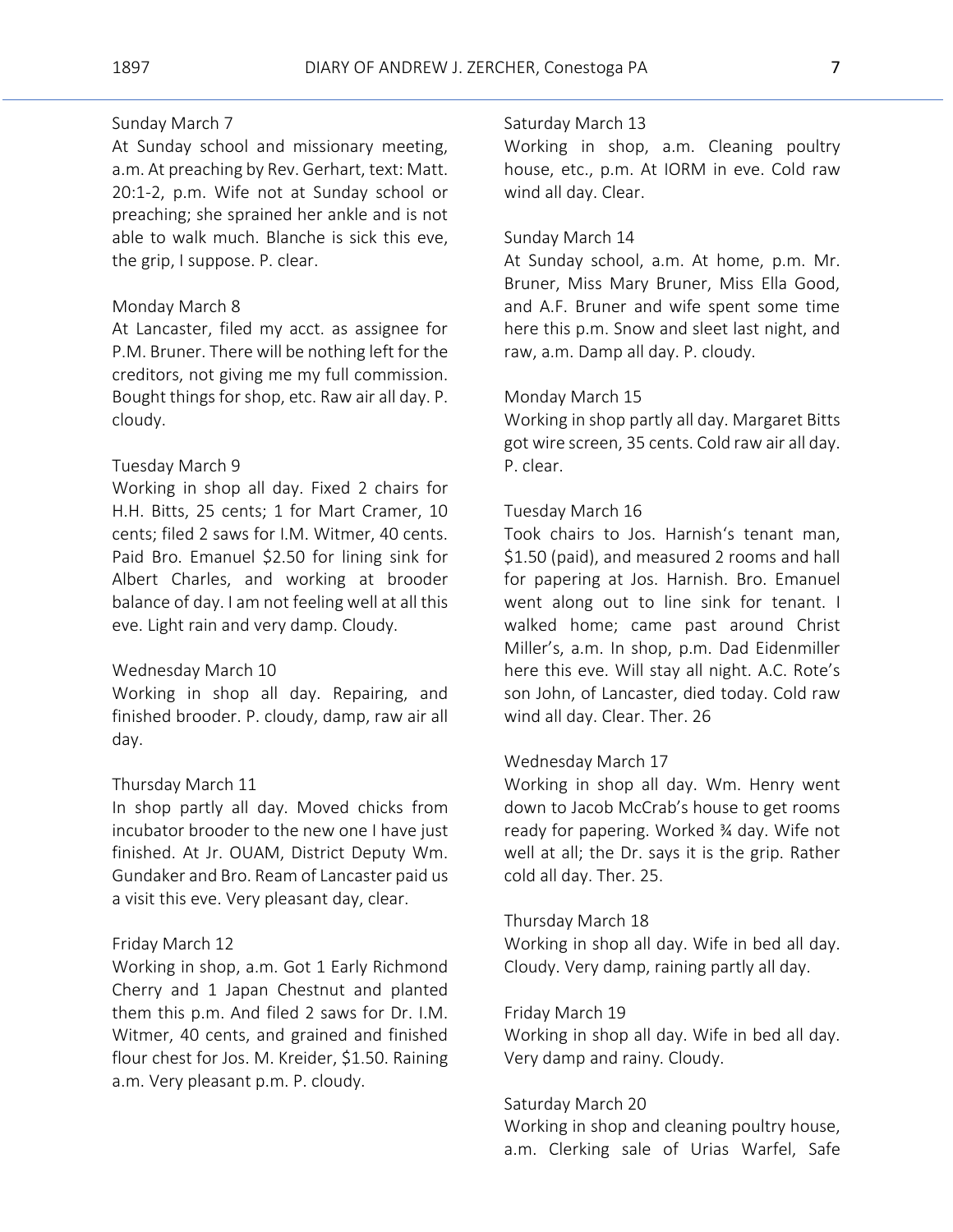# Sunday March 7

At Sunday school and missionary meeting, a.m. At preaching by Rev. Gerhart, text: Matt. 20:1-2, p.m. Wife not at Sunday school or preaching; she sprained her ankle and is not able to walk much. Blanche is sick this eve, the grip, I suppose. P. clear.

# Monday March 8

At Lancaster, filed my acct. as assignee for P.M. Bruner. There will be nothing left for the creditors, not giving me my full commission. Bought things for shop, etc. Raw air all day. P. cloudy.

# Tuesday March 9

Working in shop all day. Fixed 2 chairs for H.H. Bitts, 25 cents; 1 for Mart Cramer, 10 cents; filed 2 saws for I.M. Witmer, 40 cents. Paid Bro. Emanuel \$2.50 for lining sink for Albert Charles, and working at brooder balance of day. I am not feeling well at all this eve. Light rain and very damp. Cloudy.

#### Wednesday March 10

Working in shop all day. Repairing, and finished brooder. P. cloudy, damp, raw air all day.

#### Thursday March 11

In shop partly all day. Moved chicks from incubator brooder to the new one I have just finished. At Jr. OUAM, District Deputy Wm. Gundaker and Bro. Ream of Lancaster paid us a visit this eve. Very pleasant day, clear.

#### Friday March 12

Working in shop, a.m. Got 1 Early Richmond Cherry and 1 Japan Chestnut and planted them this p.m. And filed 2 saws for Dr. I.M. Witmer, 40 cents, and grained and finished flour chest for Jos. M. Kreider, \$1.50. Raining a.m. Very pleasant p.m. P. cloudy.

#### Saturday March 13

Working in shop, a.m. Cleaning poultry house, etc., p.m. At IORM in eve. Cold raw wind all day. Clear.

#### Sunday March 14

At Sunday school, a.m. At home, p.m. Mr. Bruner, Miss Mary Bruner, Miss Ella Good, and A.F. Bruner and wife spent some time here this p.m. Snow and sleet last night, and raw, a.m. Damp all day. P. cloudy.

# Monday March 15

Working in shop partly all day. Margaret Bitts got wire screen, 35 cents. Cold raw air all day. P. clear.

### Tuesday March 16

Took chairs to Jos. Harnish's tenant man, \$1.50 (paid), and measured 2 rooms and hall for papering at Jos. Harnish. Bro. Emanuel went along out to line sink for tenant. I walked home; came past around Christ Miller's, a.m. In shop, p.m. Dad Eidenmiller here this eve. Will stay all night. A.C. Rote's son John, of Lancaster, died today. Cold raw wind all day. Clear. Ther. 26

# Wednesday March 17

Working in shop all day. Wm. Henry went down to Jacob McCrab's house to get rooms ready for papering. Worked ¾ day. Wife not well at all; the Dr. says it is the grip. Rather cold all day. Ther. 25.

#### Thursday March 18

Working in shop all day. Wife in bed all day. Cloudy. Very damp, raining partly all day.

#### Friday March 19

Working in shop all day. Wife in bed all day. Very damp and rainy. Cloudy.

#### Saturday March 20

Working in shop and cleaning poultry house, a.m. Clerking sale of Urias Warfel, Safe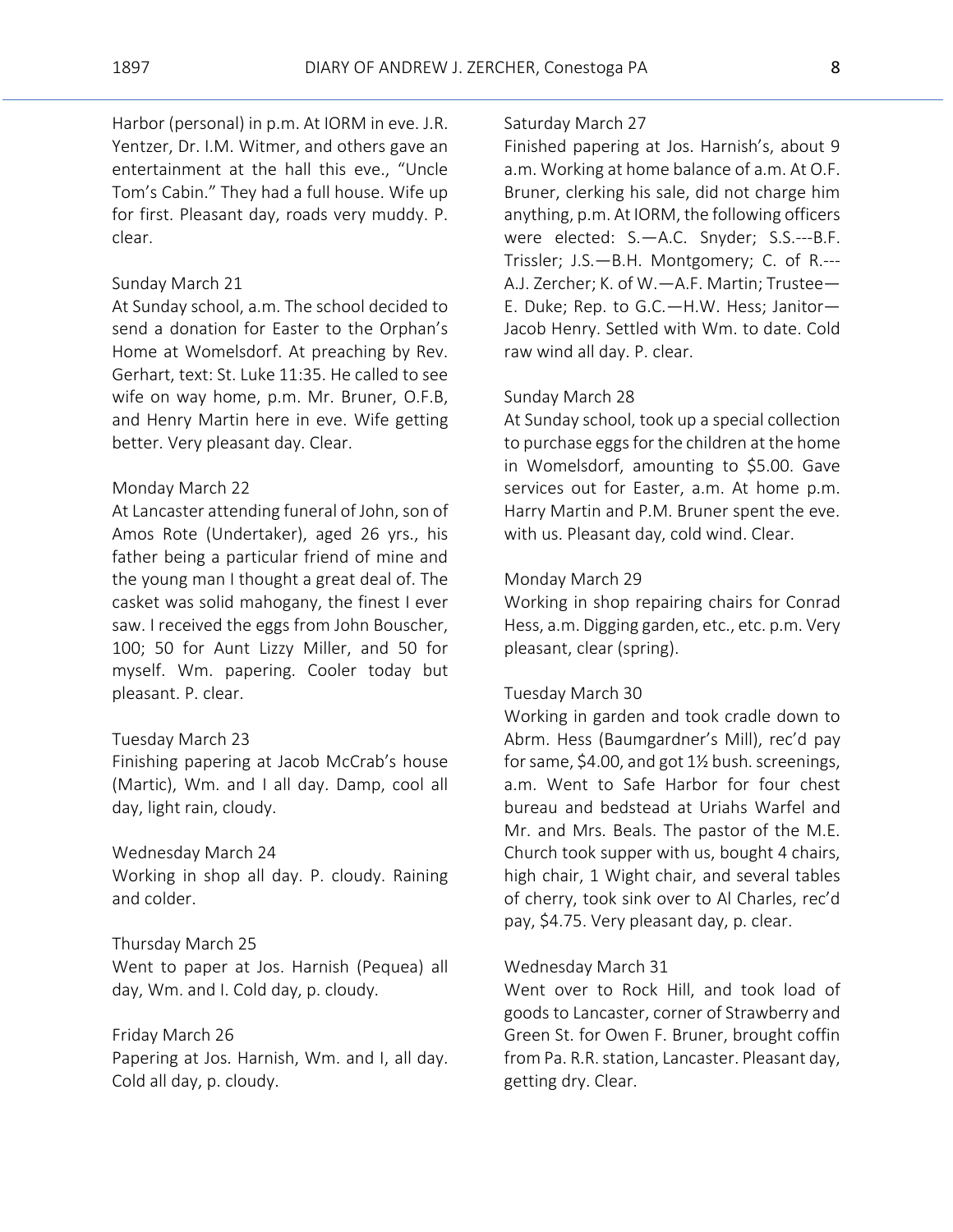Harbor (personal) in p.m. At IORM in eve. J.R. Yentzer, Dr. I.M. Witmer, and others gave an entertainment at the hall this eve., "Uncle Tom's Cabin." They had a full house. Wife up for first. Pleasant day, roads very muddy. P. clear.

#### Sunday March 21

At Sunday school, a.m. The school decided to send a donation for Easter to the Orphan's Home at Womelsdorf. At preaching by Rev. Gerhart, text: St. Luke 11:35. He called to see wife on way home, p.m. Mr. Bruner, O.F.B, and Henry Martin here in eve. Wife getting better. Very pleasant day. Clear.

#### Monday March 22

At Lancaster attending funeral of John, son of Amos Rote (Undertaker), aged 26 yrs., his father being a particular friend of mine and the young man I thought a great deal of. The casket was solid mahogany, the finest I ever saw. I received the eggs from John Bouscher, 100; 50 for Aunt Lizzy Miller, and 50 for myself. Wm. papering. Cooler today but pleasant. P. clear.

#### Tuesday March 23

Finishing papering at Jacob McCrab's house (Martic), Wm. and I all day. Damp, cool all day, light rain, cloudy.

#### Wednesday March 24

Working in shop all day. P. cloudy. Raining and colder.

# Thursday March 25 Went to paper at Jos. Harnish (Pequea) all

day, Wm. and I. Cold day, p. cloudy.

#### Friday March 26

Papering at Jos. Harnish, Wm. and I, all day. Cold all day, p. cloudy.

#### Saturday March 27

Finished papering at Jos. Harnish's, about 9 a.m. Working at home balance of a.m. At O.F. Bruner, clerking his sale, did not charge him anything, p.m. At IORM, the following officers were elected: S.—A.C. Snyder; S.S.---B.F. Trissler; J.S.—B.H. Montgomery; C. of R.--- A.J. Zercher; K. of W.—A.F. Martin; Trustee— E. Duke; Rep. to G.C.—H.W. Hess; Janitor— Jacob Henry. Settled with Wm. to date. Cold raw wind all day. P. clear.

#### Sunday March 28

At Sunday school, took up a special collection to purchase eggs for the children at the home in Womelsdorf, amounting to \$5.00. Gave services out for Easter, a.m. At home p.m. Harry Martin and P.M. Bruner spent the eve. with us. Pleasant day, cold wind. Clear.

#### Monday March 29

Working in shop repairing chairs for Conrad Hess, a.m. Digging garden, etc., etc. p.m. Very pleasant, clear (spring).

#### Tuesday March 30

Working in garden and took cradle down to Abrm. Hess (Baumgardner's Mill), rec'd pay for same, \$4.00, and got 1½ bush. screenings, a.m. Went to Safe Harbor for four chest bureau and bedstead at Uriahs Warfel and Mr. and Mrs. Beals. The pastor of the M.E. Church took supper with us, bought 4 chairs, high chair, 1 Wight chair, and several tables of cherry, took sink over to Al Charles, rec'd pay, \$4.75. Very pleasant day, p. clear.

#### Wednesday March 31

Went over to Rock Hill, and took load of goods to Lancaster, corner of Strawberry and Green St. for Owen F. Bruner, brought coffin from Pa. R.R. station, Lancaster. Pleasant day, getting dry. Clear.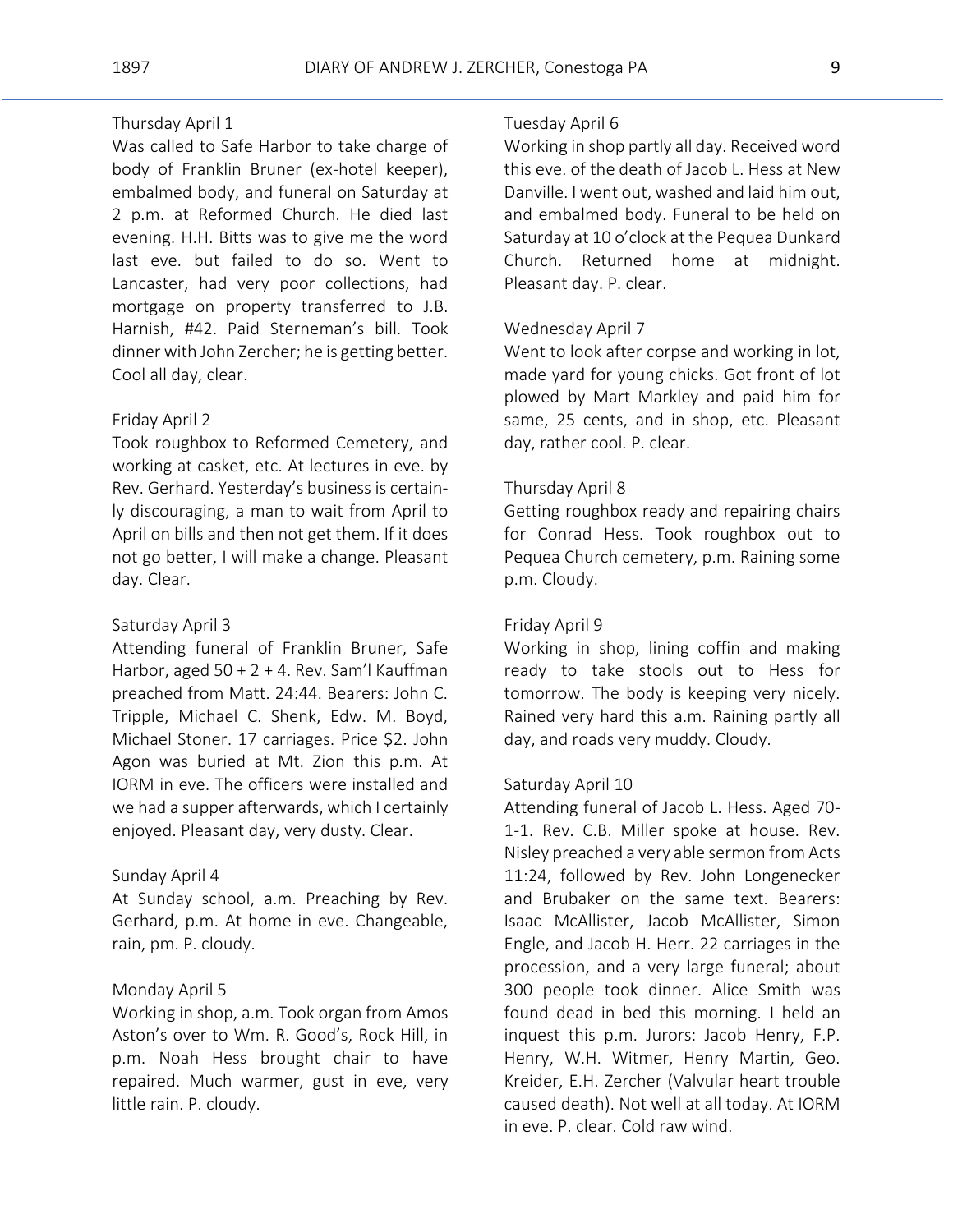# Thursday April 1

Was called to Safe Harbor to take charge of body of Franklin Bruner (ex-hotel keeper), embalmed body, and funeral on Saturday at 2 p.m. at Reformed Church. He died last evening. H.H. Bitts was to give me the word last eve. but failed to do so. Went to Lancaster, had very poor collections, had mortgage on property transferred to J.B. Harnish, #42. Paid Sterneman's bill. Took dinner with John Zercher; he is getting better. Cool all day, clear.

#### Friday April 2

Took roughbox to Reformed Cemetery, and working at casket, etc. At lectures in eve. by Rev. Gerhard. Yesterday's business is certainly discouraging, a man to wait from April to April on bills and then not get them. If it does not go better, I will make a change. Pleasant day. Clear.

# Saturday April 3

Attending funeral of Franklin Bruner, Safe Harbor, aged 50 + 2 + 4. Rev. Sam'l Kauffman preached from Matt. 24:44. Bearers: John C. Tripple, Michael C. Shenk, Edw. M. Boyd, Michael Stoner. 17 carriages. Price \$2. John Agon was buried at Mt. Zion this p.m. At IORM in eve. The officers were installed and we had a supper afterwards, which I certainly enjoyed. Pleasant day, very dusty. Clear.

# Sunday April 4

At Sunday school, a.m. Preaching by Rev. Gerhard, p.m. At home in eve. Changeable, rain, pm. P. cloudy.

#### Monday April 5

Working in shop, a.m. Took organ from Amos Aston's over to Wm. R. Good's, Rock Hill, in p.m. Noah Hess brought chair to have repaired. Much warmer, gust in eve, very little rain. P. cloudy.

#### Tuesday April 6

Working in shop partly all day. Received word this eve. of the death of Jacob L. Hess at New Danville. I went out, washed and laid him out, and embalmed body. Funeral to be held on Saturday at 10 o'clock at the Pequea Dunkard Church. Returned home at midnight. Pleasant day. P. clear.

#### Wednesday April 7

Went to look after corpse and working in lot, made yard for young chicks. Got front of lot plowed by Mart Markley and paid him for same, 25 cents, and in shop, etc. Pleasant day, rather cool. P. clear.

#### Thursday April 8

Getting roughbox ready and repairing chairs for Conrad Hess. Took roughbox out to Pequea Church cemetery, p.m. Raining some p.m. Cloudy.

# Friday April 9

Working in shop, lining coffin and making ready to take stools out to Hess for tomorrow. The body is keeping very nicely. Rained very hard this a.m. Raining partly all day, and roads very muddy. Cloudy.

#### Saturday April 10

Attending funeral of Jacob L. Hess. Aged 70- 1-1. Rev. C.B. Miller spoke at house. Rev. Nisley preached a very able sermon from Acts 11:24, followed by Rev. John Longenecker and Brubaker on the same text. Bearers: Isaac McAllister, Jacob McAllister, Simon Engle, and Jacob H. Herr. 22 carriages in the procession, and a very large funeral; about 300 people took dinner. Alice Smith was found dead in bed this morning. I held an inquest this p.m. Jurors: Jacob Henry, F.P. Henry, W.H. Witmer, Henry Martin, Geo. Kreider, E.H. Zercher (Valvular heart trouble caused death). Not well at all today. At IORM in eve. P. clear. Cold raw wind.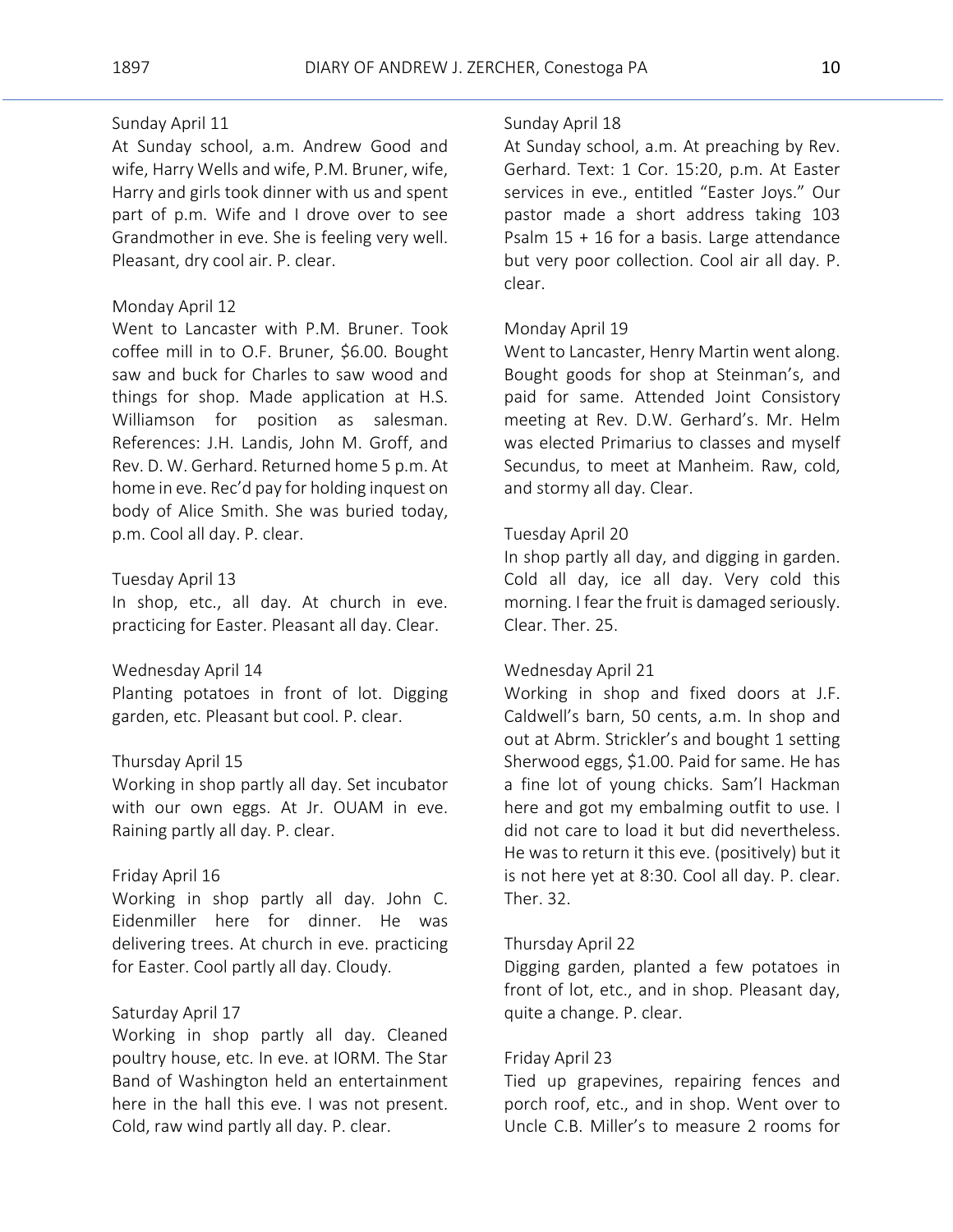# Sunday April 11

At Sunday school, a.m. Andrew Good and wife, Harry Wells and wife, P.M. Bruner, wife, Harry and girls took dinner with us and spent part of p.m. Wife and I drove over to see Grandmother in eve. She is feeling very well. Pleasant, dry cool air. P. clear.

#### Monday April 12

Went to Lancaster with P.M. Bruner. Took coffee mill in to O.F. Bruner, \$6.00. Bought saw and buck for Charles to saw wood and things for shop. Made application at H.S. Williamson for position as salesman. References: J.H. Landis, John M. Groff, and Rev. D. W. Gerhard. Returned home 5 p.m. At home in eve. Rec'd pay for holding inquest on body of Alice Smith. She was buried today, p.m. Cool all day. P. clear.

#### Tuesday April 13

In shop, etc., all day. At church in eve. practicing for Easter. Pleasant all day. Clear.

#### Wednesday April 14

Planting potatoes in front of lot. Digging garden, etc. Pleasant but cool. P. clear.

### Thursday April 15

Working in shop partly all day. Set incubator with our own eggs. At Jr. OUAM in eve. Raining partly all day. P. clear.

#### Friday April 16

Working in shop partly all day. John C. Eidenmiller here for dinner. He was delivering trees. At church in eve. practicing for Easter. Cool partly all day. Cloudy.

# Saturday April 17

Working in shop partly all day. Cleaned poultry house, etc. In eve. at IORM. The Star Band of Washington held an entertainment here in the hall this eve. I was not present. Cold, raw wind partly all day. P. clear.

#### Sunday April 18

At Sunday school, a.m. At preaching by Rev. Gerhard. Text: 1 Cor. 15:20, p.m. At Easter services in eve., entitled "Easter Joys." Our pastor made a short address taking 103 Psalm 15 + 16 for a basis. Large attendance but very poor collection. Cool air all day. P. clear.

# Monday April 19

Went to Lancaster, Henry Martin went along. Bought goods for shop at Steinman's, and paid for same. Attended Joint Consistory meeting at Rev. D.W. Gerhard's. Mr. Helm was elected Primarius to classes and myself Secundus, to meet at Manheim. Raw, cold, and stormy all day. Clear.

#### Tuesday April 20

In shop partly all day, and digging in garden. Cold all day, ice all day. Very cold this morning. I fear the fruit is damaged seriously. Clear. Ther. 25.

#### Wednesday April 21

Working in shop and fixed doors at J.F. Caldwell's barn, 50 cents, a.m. In shop and out at Abrm. Strickler's and bought 1 setting Sherwood eggs, \$1.00. Paid for same. He has a fine lot of young chicks. Sam'l Hackman here and got my embalming outfit to use. I did not care to load it but did nevertheless. He was to return it this eve. (positively) but it is not here yet at 8:30. Cool all day. P. clear. Ther. 32.

#### Thursday April 22

Digging garden, planted a few potatoes in front of lot, etc., and in shop. Pleasant day, quite a change. P. clear.

#### Friday April 23

Tied up grapevines, repairing fences and porch roof, etc., and in shop. Went over to Uncle C.B. Miller's to measure 2 rooms for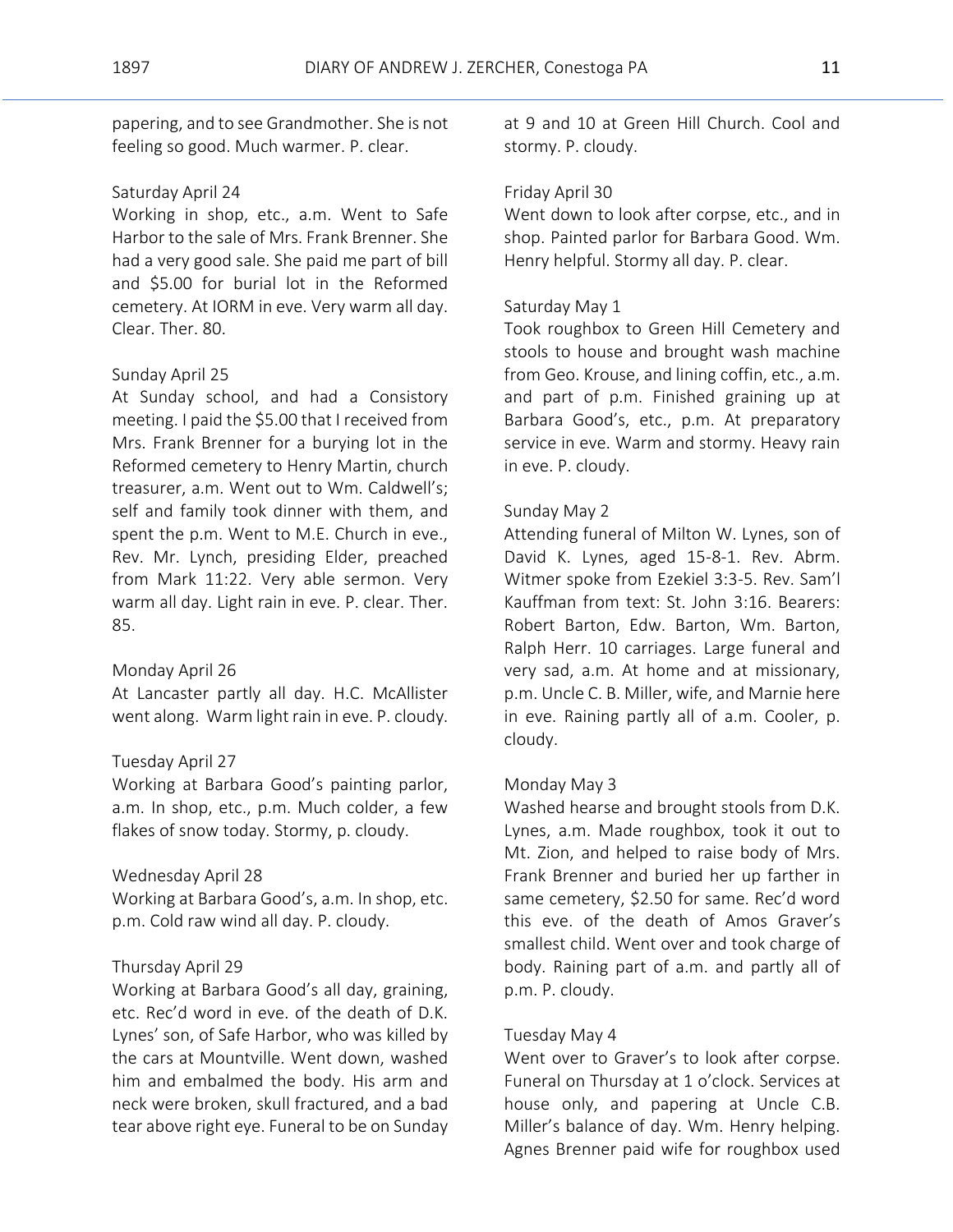papering, and to see Grandmother. She is not feeling so good. Much warmer. P. clear.

### Saturday April 24

Working in shop, etc., a.m. Went to Safe Harbor to the sale of Mrs. Frank Brenner. She had a very good sale. She paid me part of bill and \$5.00 for burial lot in the Reformed cemetery. At IORM in eve. Very warm all day. Clear. Ther. 80.

### Sunday April 25

At Sunday school, and had a Consistory meeting. I paid the \$5.00 that I received from Mrs. Frank Brenner for a burying lot in the Reformed cemetery to Henry Martin, church treasurer, a.m. Went out to Wm. Caldwell's; self and family took dinner with them, and spent the p.m. Went to M.E. Church in eve., Rev. Mr. Lynch, presiding Elder, preached from Mark 11:22. Very able sermon. Very warm all day. Light rain in eve. P. clear. Ther. 85.

#### Monday April 26

At Lancaster partly all day. H.C. McAllister went along. Warm light rain in eve. P. cloudy.

#### Tuesday April 27

Working at Barbara Good's painting parlor, a.m. In shop, etc., p.m. Much colder, a few flakes of snow today. Stormy, p. cloudy.

#### Wednesday April 28

Working at Barbara Good's, a.m. In shop, etc. p.m. Cold raw wind all day. P. cloudy.

#### Thursday April 29

Working at Barbara Good's all day, graining, etc. Rec'd word in eve. of the death of D.K. Lynes' son, of Safe Harbor, who was killed by the cars at Mountville. Went down, washed him and embalmed the body. His arm and neck were broken, skull fractured, and a bad tear above right eye. Funeral to be on Sunday

at 9 and 10 at Green Hill Church. Cool and stormy. P. cloudy.

#### Friday April 30

Went down to look after corpse, etc., and in shop. Painted parlor for Barbara Good. Wm. Henry helpful. Stormy all day. P. clear.

#### Saturday May 1

Took roughbox to Green Hill Cemetery and stools to house and brought wash machine from Geo. Krouse, and lining coffin, etc., a.m. and part of p.m. Finished graining up at Barbara Good's, etc., p.m. At preparatory service in eve. Warm and stormy. Heavy rain in eve. P. cloudy.

#### Sunday May 2

Attending funeral of Milton W. Lynes, son of David K. Lynes, aged 15-8-1. Rev. Abrm. Witmer spoke from Ezekiel 3:3-5. Rev. Sam'l Kauffman from text: St. John 3:16. Bearers: Robert Barton, Edw. Barton, Wm. Barton, Ralph Herr. 10 carriages. Large funeral and very sad, a.m. At home and at missionary, p.m. Uncle C. B. Miller, wife, and Marnie here in eve. Raining partly all of a.m. Cooler, p. cloudy.

#### Monday May 3

Washed hearse and brought stools from D.K. Lynes, a.m. Made roughbox, took it out to Mt. Zion, and helped to raise body of Mrs. Frank Brenner and buried her up farther in same cemetery, \$2.50 for same. Rec'd word this eve. of the death of Amos Graver's smallest child. Went over and took charge of body. Raining part of a.m. and partly all of p.m. P. cloudy.

#### Tuesday May 4

Went over to Graver's to look after corpse. Funeral on Thursday at 1 o'clock. Services at house only, and papering at Uncle C.B. Miller's balance of day. Wm. Henry helping. Agnes Brenner paid wife for roughbox used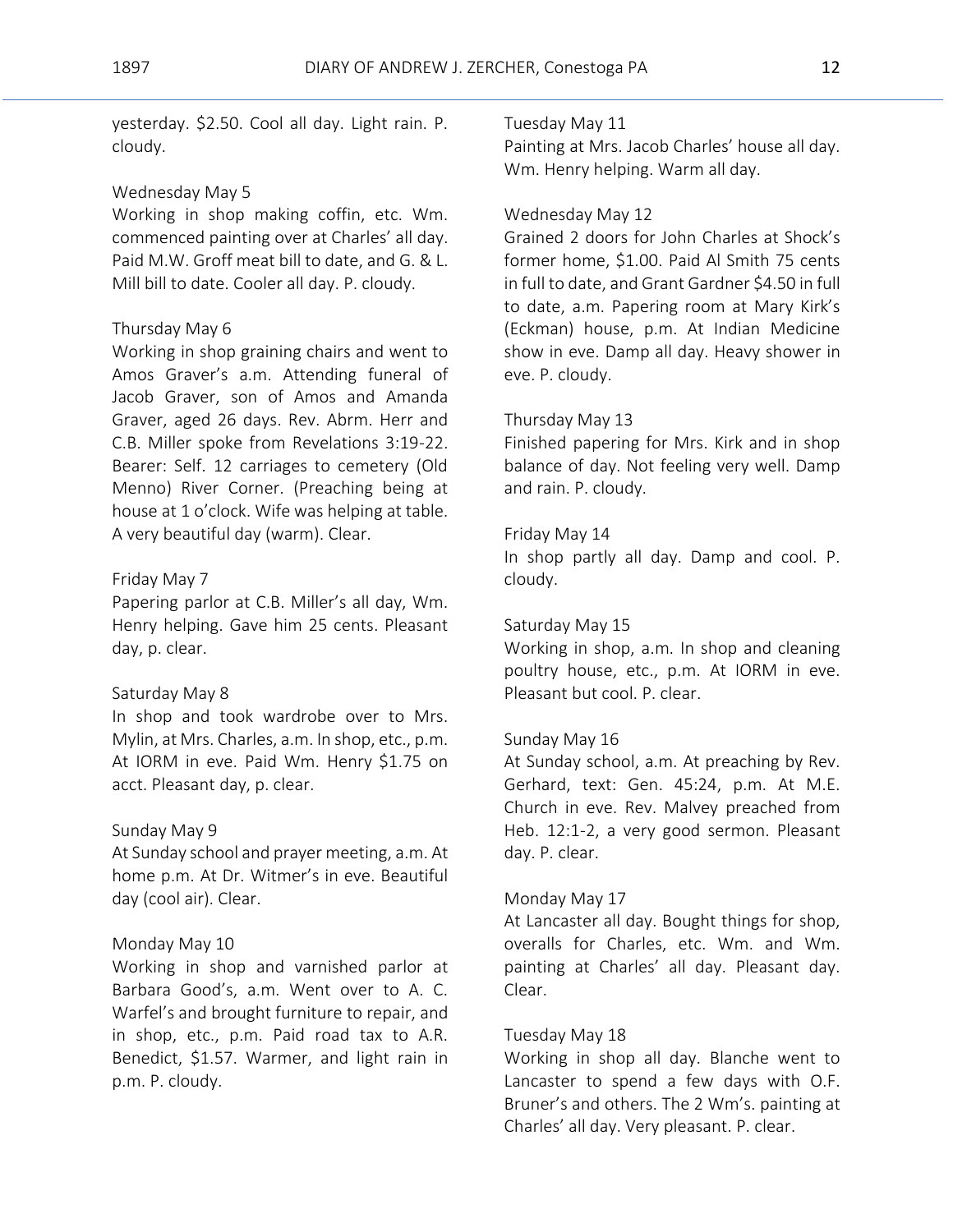yesterday. \$2.50. Cool all day. Light rain. P. cloudy.

# Wednesday May 5

Working in shop making coffin, etc. Wm. commenced painting over at Charles' all day. Paid M.W. Groff meat bill to date, and G. & L. Mill bill to date. Cooler all day. P. cloudy.

# Thursday May 6

Working in shop graining chairs and went to Amos Graver's a.m. Attending funeral of Jacob Graver, son of Amos and Amanda Graver, aged 26 days. Rev. Abrm. Herr and C.B. Miller spoke from Revelations 3:19-22. Bearer: Self. 12 carriages to cemetery (Old Menno) River Corner. (Preaching being at house at 1 o'clock. Wife was helping at table. A very beautiful day (warm). Clear.

#### Friday May 7

Papering parlor at C.B. Miller's all day, Wm. Henry helping. Gave him 25 cents. Pleasant day, p. clear.

#### Saturday May 8

In shop and took wardrobe over to Mrs. Mylin, at Mrs. Charles, a.m. In shop, etc., p.m. At IORM in eve. Paid Wm. Henry \$1.75 on acct. Pleasant day, p. clear.

# Sunday May 9

At Sunday school and prayer meeting, a.m. At home p.m. At Dr. Witmer's in eve. Beautiful day (cool air). Clear.

#### Monday May 10

Working in shop and varnished parlor at Barbara Good's, a.m. Went over to A. C. Warfel's and brought furniture to repair, and in shop, etc., p.m. Paid road tax to A.R. Benedict, \$1.57. Warmer, and light rain in p.m. P. cloudy.

# Tuesday May 11

Painting at Mrs. Jacob Charles' house all day. Wm. Henry helping. Warm all day.

# Wednesday May 12

Grained 2 doors for John Charles at Shock's former home, \$1.00. Paid Al Smith 75 cents in full to date, and Grant Gardner \$4.50 in full to date, a.m. Papering room at Mary Kirk's (Eckman) house, p.m. At Indian Medicine show in eve. Damp all day. Heavy shower in eve. P. cloudy.

# Thursday May 13

Finished papering for Mrs. Kirk and in shop balance of day. Not feeling very well. Damp and rain. P. cloudy.

# Friday May 14

In shop partly all day. Damp and cool. P. cloudy.

# Saturday May 15

Working in shop, a.m. In shop and cleaning poultry house, etc., p.m. At IORM in eve. Pleasant but cool. P. clear.

# Sunday May 16

At Sunday school, a.m. At preaching by Rev. Gerhard, text: Gen. 45:24, p.m. At M.E. Church in eve. Rev. Malvey preached from Heb. 12:1-2, a very good sermon. Pleasant day. P. clear.

#### Monday May 17

At Lancaster all day. Bought things for shop, overalls for Charles, etc. Wm. and Wm. painting at Charles' all day. Pleasant day. Clear.

# Tuesday May 18

Working in shop all day. Blanche went to Lancaster to spend a few days with O.F. Bruner's and others. The 2 Wm's. painting at Charles' all day. Very pleasant. P. clear.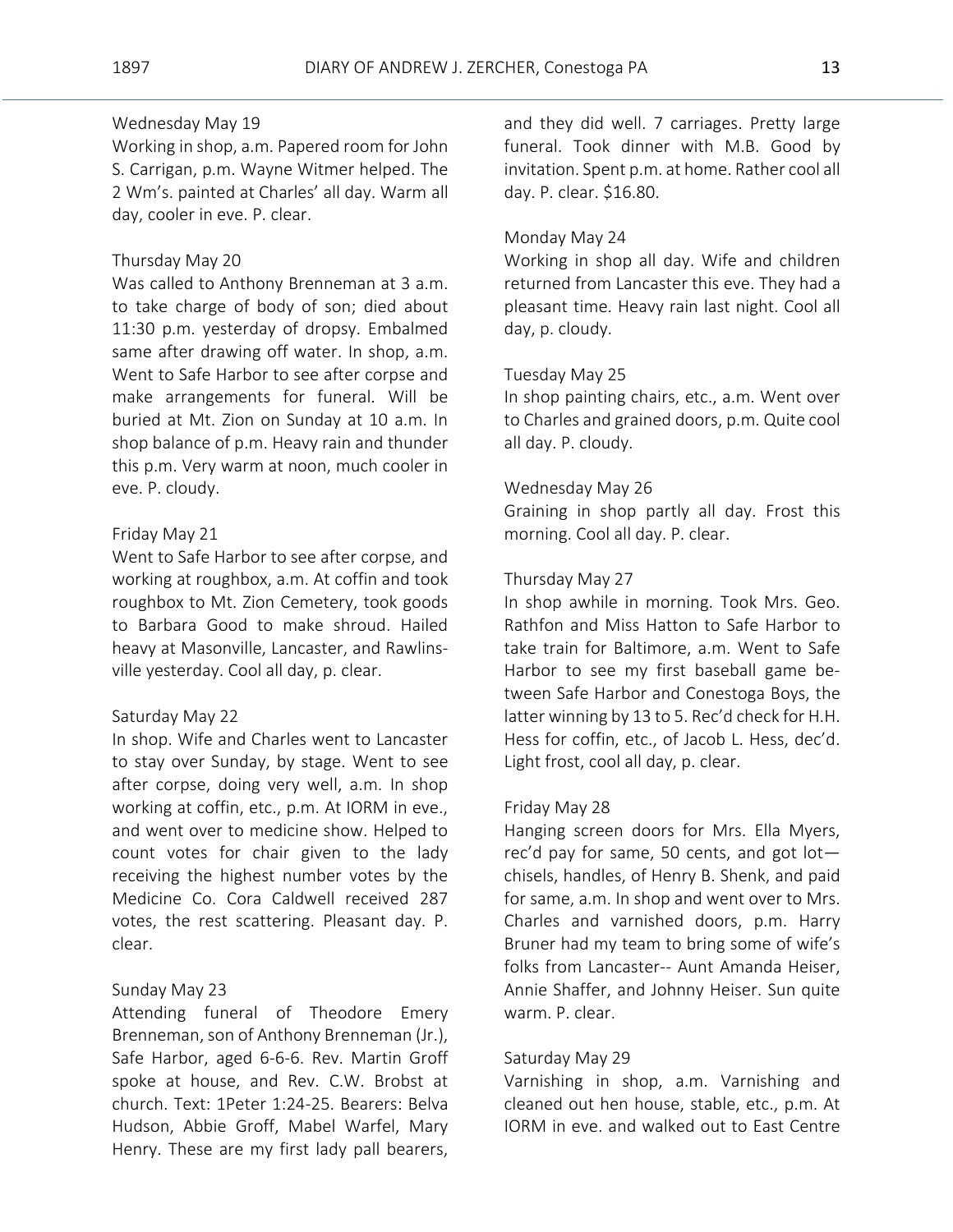# Wednesday May 19

Working in shop, a.m. Papered room for John S. Carrigan, p.m. Wayne Witmer helped. The 2 Wm's. painted at Charles' all day. Warm all day, cooler in eve. P. clear.

# Thursday May 20

Was called to Anthony Brenneman at 3 a.m. to take charge of body of son; died about 11:30 p.m. yesterday of dropsy. Embalmed same after drawing off water. In shop, a.m. Went to Safe Harbor to see after corpse and make arrangements for funeral. Will be buried at Mt. Zion on Sunday at 10 a.m. In shop balance of p.m. Heavy rain and thunder this p.m. Very warm at noon, much cooler in eve. P. cloudy.

# Friday May 21

Went to Safe Harbor to see after corpse, and working at roughbox, a.m. At coffin and took roughbox to Mt. Zion Cemetery, took goods to Barbara Good to make shroud. Hailed heavy at Masonville, Lancaster, and Rawlinsville yesterday. Cool all day, p. clear.

#### Saturday May 22

In shop. Wife and Charles went to Lancaster to stay over Sunday, by stage. Went to see after corpse, doing very well, a.m. In shop working at coffin, etc., p.m. At IORM in eve., and went over to medicine show. Helped to count votes for chair given to the lady receiving the highest number votes by the Medicine Co. Cora Caldwell received 287 votes, the rest scattering. Pleasant day. P. clear.

#### Sunday May 23

Attending funeral of Theodore Emery Brenneman, son of Anthony Brenneman (Jr.), Safe Harbor, aged 6-6-6. Rev. Martin Groff spoke at house, and Rev. C.W. Brobst at church. Text: 1Peter 1:24-25. Bearers: Belva Hudson, Abbie Groff, Mabel Warfel, Mary Henry. These are my first lady pall bearers,

and they did well. 7 carriages. Pretty large funeral. Took dinner with M.B. Good by invitation. Spent p.m. at home. Rather cool all day. P. clear. \$16.80.

#### Monday May 24

Working in shop all day. Wife and children returned from Lancaster this eve. They had a pleasant time. Heavy rain last night. Cool all day, p. cloudy.

### Tuesday May 25

In shop painting chairs, etc., a.m. Went over to Charles and grained doors, p.m. Quite cool all day. P. cloudy.

#### Wednesday May 26

Graining in shop partly all day. Frost this morning. Cool all day. P. clear.

#### Thursday May 27

In shop awhile in morning. Took Mrs. Geo. Rathfon and Miss Hatton to Safe Harbor to take train for Baltimore, a.m. Went to Safe Harbor to see my first baseball game between Safe Harbor and Conestoga Boys, the latter winning by 13 to 5. Rec'd check for H.H. Hess for coffin, etc., of Jacob L. Hess, dec'd. Light frost, cool all day, p. clear.

#### Friday May 28

Hanging screen doors for Mrs. Ella Myers, rec'd pay for same, 50 cents, and got lot chisels, handles, of Henry B. Shenk, and paid for same, a.m. In shop and went over to Mrs. Charles and varnished doors, p.m. Harry Bruner had my team to bring some of wife's folks from Lancaster-- Aunt Amanda Heiser, Annie Shaffer, and Johnny Heiser. Sun quite warm. P. clear.

#### Saturday May 29

Varnishing in shop, a.m. Varnishing and cleaned out hen house, stable, etc., p.m. At IORM in eve. and walked out to East Centre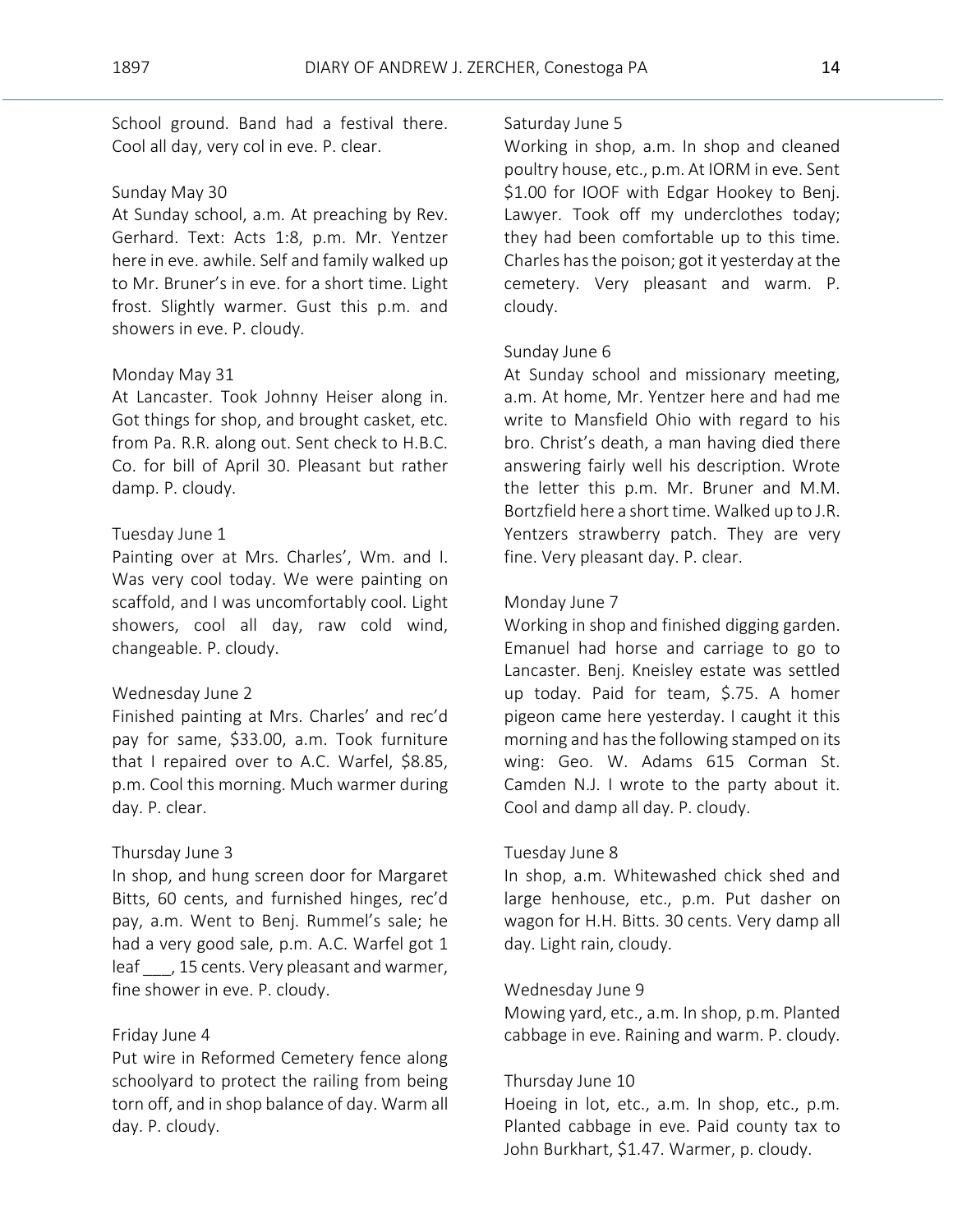School ground. Band had a festival there. Cool all day, very col in eve. P. clear.

#### Sunday May 30

At Sunday school, a.m. At preaching by Rev. Gerhard. Text: Acts 1:8, p.m. Mr. Yentzer here in eve. awhile. Self and family walked up to Mr. Bruner's in eve. for a short time. Light frost. Slightly warmer. Gust this p.m. and showers in eve. P. cloudy.

### Monday May 31

At Lancaster. Took Johnny Heiser along in. Got things for shop, and brought casket, etc. from Pa. R.R. along out. Sent check to H.B.C. Co. for bill of April 30. Pleasant but rather damp. P. cloudy.

# Tuesday June 1

Painting over at Mrs. Charles', Wm. and I. Was very cool today. We were painting on scaffold, and I was uncomfortably cool. Light showers, cool all day, raw cold wind, changeable. P. cloudy.

#### Wednesday June 2

Finished painting at Mrs. Charles' and rec'd pay for same, \$33.00, a.m. Took furniture that I repaired over to A.C. Warfel, \$8.85, p.m. Cool this morning. Much warmer during day. P. clear.

#### Thursday June 3

In shop, and hung screen door for Margaret Bitts, 60 cents, and furnished hinges, rec'd pay, a.m. Went to Benj. Rummel's sale; he had a very good sale, p.m. A.C. Warfel got 1 leaf, 15 cents. Very pleasant and warmer, fine shower in eve. P. cloudy.

#### Friday June 4

Put wire in Reformed Cemetery fence along schoolyard to protect the railing from being torn off, and in shop balance of day. Warm all day. P. cloudy.

#### Saturday June 5

Working in shop, a.m. In shop and cleaned poultry house, etc., p.m. At IORM in eve. Sent \$1.00 for IOOF with Edgar Hookey to Benj. Lawyer. Took off my underclothes today; they had been comfortable up to this time. Charles has the poison; got it yesterday at the cemetery. Very pleasant and warm. P. cloudy.

#### Sunday June 6

At Sunday school and missionary meeting, a.m. At home, Mr. Yentzer here and had me write to Mansfield Ohio with regard to his bro. Christ's death, a man having died there answering fairly well his description. Wrote the letter this p.m. Mr. Bruner and M.M. Bortzfield here a short time. Walked up to J.R. Yentzers strawberry patch. They are very fine. Very pleasant day. P. clear.

#### Monday June 7

Working in shop and finished digging garden. Emanuel had horse and carriage to go to Lancaster. Benj. Kneisley estate was settled up today. Paid for team, \$.75. A homer pigeon came here yesterday. I caught it this morning and has the following stamped on its wing: Geo. W. Adams 615 Corman St. Camden N.J. I wrote to the party about it. Cool and damp all day. P. cloudy.

#### Tuesday June 8

In shop, a.m. Whitewashed chick shed and large henhouse, etc., p.m. Put dasher on wagon for H.H. Bitts. 30 cents. Very damp all day. Light rain, cloudy.

#### Wednesday June 9

Mowing yard, etc., a.m. In shop, p.m. Planted cabbage in eve. Raining and warm. P. cloudy.

#### Thursday June 10

Hoeing in lot, etc., a.m. In shop, etc., p.m. Planted cabbage in eve. Paid county tax to John Burkhart, \$1.47. Warmer, p. cloudy.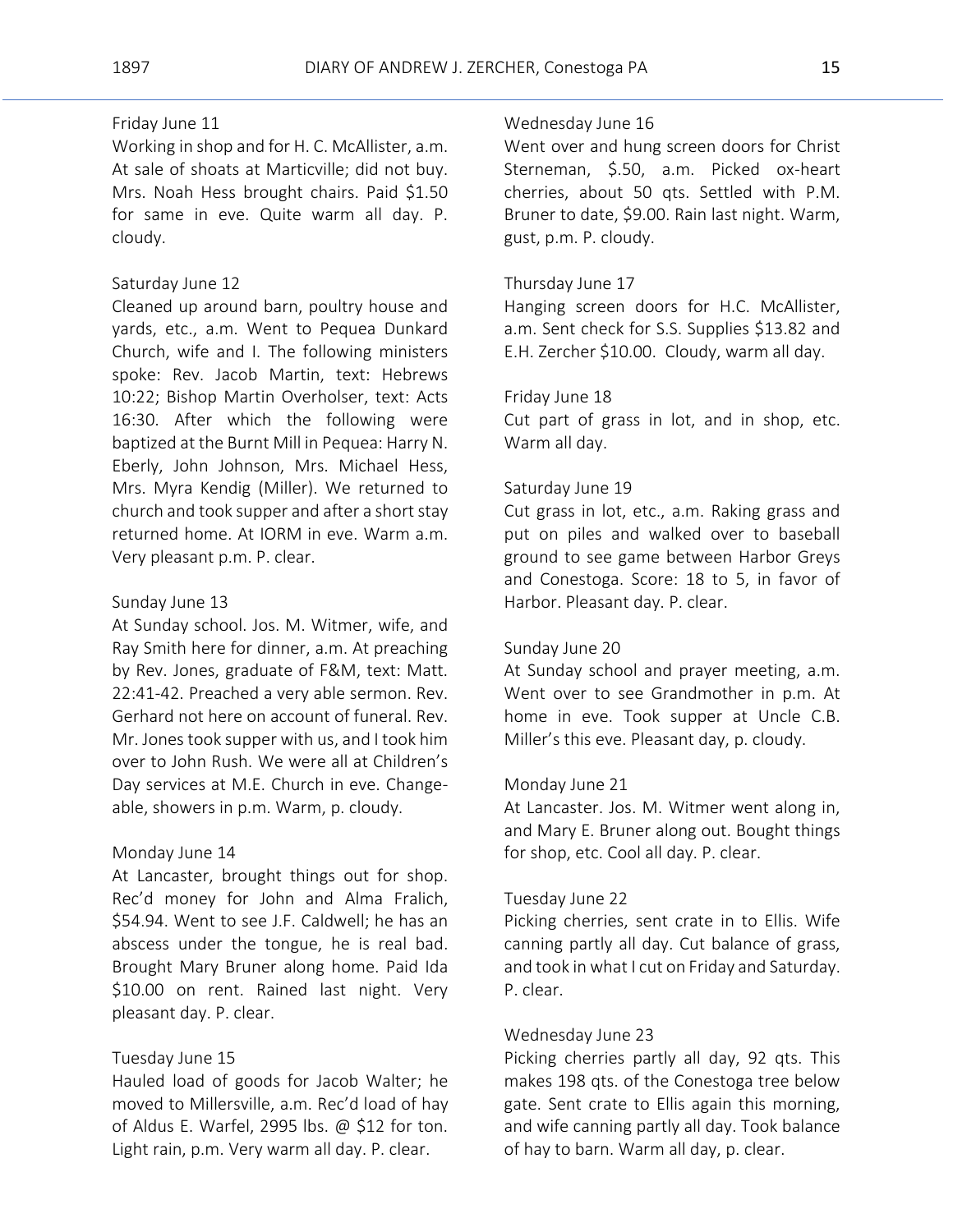# Friday June 11

Working in shop and for H. C. McAllister, a.m. At sale of shoats at Marticville; did not buy. Mrs. Noah Hess brought chairs. Paid \$1.50 for same in eve. Quite warm all day. P. cloudy.

#### Saturday June 12

Cleaned up around barn, poultry house and yards, etc., a.m. Went to Pequea Dunkard Church, wife and I. The following ministers spoke: Rev. Jacob Martin, text: Hebrews 10:22; Bishop Martin Overholser, text: Acts 16:30. After which the following were baptized at the Burnt Mill in Pequea: Harry N. Eberly, John Johnson, Mrs. Michael Hess, Mrs. Myra Kendig (Miller). We returned to church and took supper and after a short stay returned home. At IORM in eve. Warm a.m. Very pleasant p.m. P. clear.

#### Sunday June 13

At Sunday school. Jos. M. Witmer, wife, and Ray Smith here for dinner, a.m. At preaching by Rev. Jones, graduate of F&M, text: Matt. 22:41-42. Preached a very able sermon. Rev. Gerhard not here on account of funeral. Rev. Mr. Jones took supper with us, and I took him over to John Rush. We were all at Children's Day services at M.E. Church in eve. Changeable, showers in p.m. Warm, p. cloudy.

#### Monday June 14

At Lancaster, brought things out for shop. Rec'd money for John and Alma Fralich, \$54.94. Went to see J.F. Caldwell; he has an abscess under the tongue, he is real bad. Brought Mary Bruner along home. Paid Ida \$10.00 on rent. Rained last night. Very pleasant day. P. clear.

#### Tuesday June 15

Hauled load of goods for Jacob Walter; he moved to Millersville, a.m. Rec'd load of hay of Aldus E. Warfel, 2995 lbs. @ \$12 for ton. Light rain, p.m. Very warm all day. P. clear.

# Wednesday June 16

Went over and hung screen doors for Christ Sterneman, \$.50, a.m. Picked ox-heart cherries, about 50 qts. Settled with P.M. Bruner to date, \$9.00. Rain last night. Warm, gust, p.m. P. cloudy.

#### Thursday June 17

Hanging screen doors for H.C. McAllister, a.m. Sent check for S.S. Supplies \$13.82 and E.H. Zercher \$10.00. Cloudy, warm all day.

# Friday June 18

Cut part of grass in lot, and in shop, etc. Warm all day.

#### Saturday June 19

Cut grass in lot, etc., a.m. Raking grass and put on piles and walked over to baseball ground to see game between Harbor Greys and Conestoga. Score: 18 to 5, in favor of Harbor. Pleasant day. P. clear.

#### Sunday June 20

At Sunday school and prayer meeting, a.m. Went over to see Grandmother in p.m. At home in eve. Took supper at Uncle C.B. Miller's this eve. Pleasant day, p. cloudy.

#### Monday June 21

At Lancaster. Jos. M. Witmer went along in, and Mary E. Bruner along out. Bought things for shop, etc. Cool all day. P. clear.

# Tuesday June 22

Picking cherries, sent crate in to Ellis. Wife canning partly all day. Cut balance of grass, and took in what I cut on Friday and Saturday. P. clear.

# Wednesday June 23

Picking cherries partly all day, 92 qts. This makes 198 qts. of the Conestoga tree below gate. Sent crate to Ellis again this morning, and wife canning partly all day. Took balance of hay to barn. Warm all day, p. clear.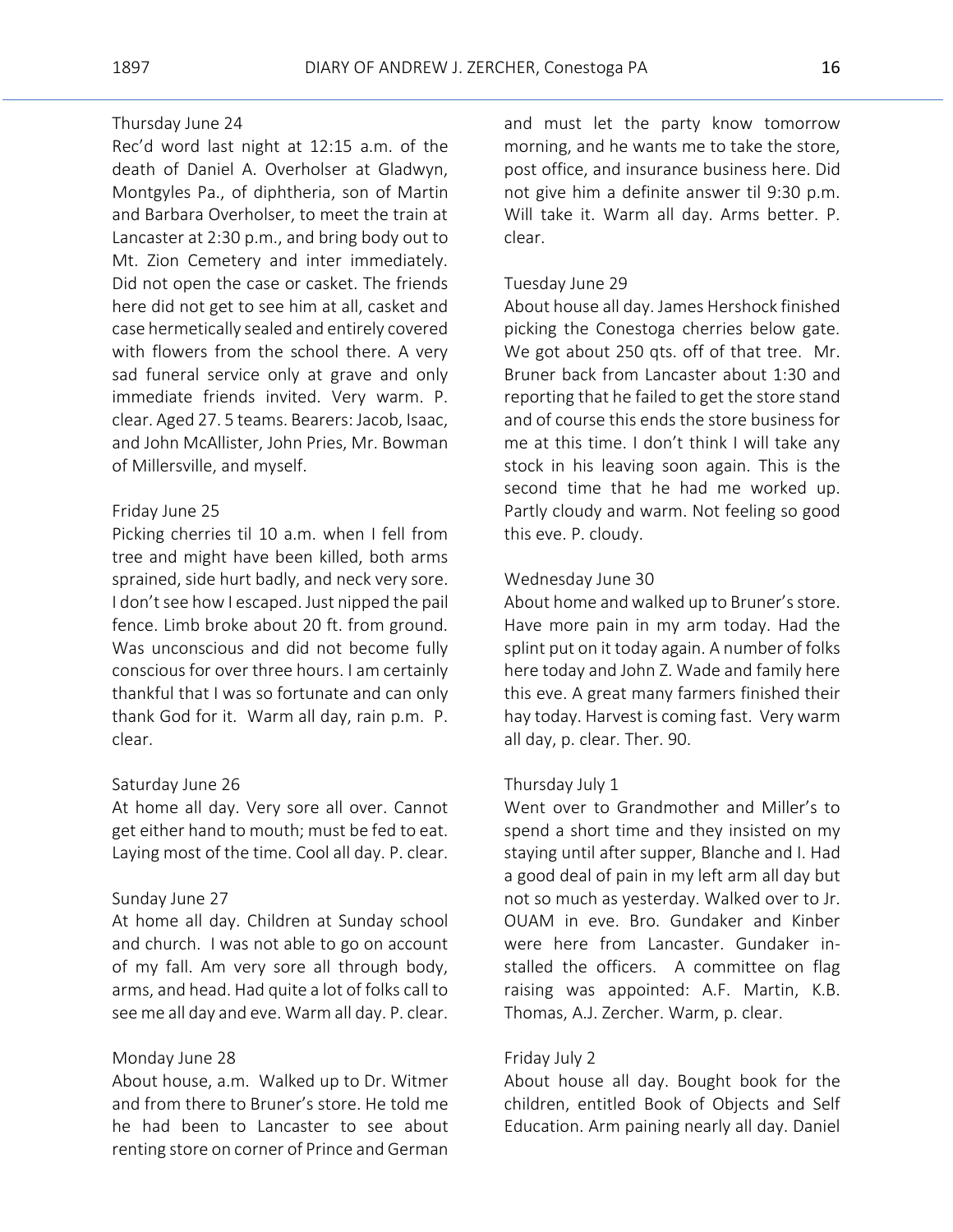# Thursday June 24

Rec'd word last night at 12:15 a.m. of the death of Daniel A. Overholser at Gladwyn, Montgyles Pa., of diphtheria, son of Martin and Barbara Overholser, to meet the train at Lancaster at 2:30 p.m., and bring body out to Mt. Zion Cemetery and inter immediately. Did not open the case or casket. The friends here did not get to see him at all, casket and case hermetically sealed and entirely covered with flowers from the school there. A very sad funeral service only at grave and only immediate friends invited. Very warm. P. clear. Aged 27. 5 teams. Bearers: Jacob, Isaac, and John McAllister, John Pries, Mr. Bowman of Millersville, and myself.

# Friday June 25

Picking cherries til 10 a.m. when I fell from tree and might have been killed, both arms sprained, side hurt badly, and neck very sore. I don't see how I escaped. Just nipped the pail fence. Limb broke about 20 ft. from ground. Was unconscious and did not become fully conscious for over three hours. I am certainly thankful that I was so fortunate and can only thank God for it. Warm all day, rain p.m. P. clear.

# Saturday June 26

At home all day. Very sore all over. Cannot get either hand to mouth; must be fed to eat. Laying most of the time. Cool all day. P. clear.

#### Sunday June 27

At home all day. Children at Sunday school and church. I was not able to go on account of my fall. Am very sore all through body, arms, and head. Had quite a lot of folks call to see me all day and eve. Warm all day. P. clear.

#### Monday June 28

About house, a.m. Walked up to Dr. Witmer and from there to Bruner's store. He told me he had been to Lancaster to see about renting store on corner of Prince and German and must let the party know tomorrow morning, and he wants me to take the store, post office, and insurance business here. Did not give him a definite answer til 9:30 p.m. Will take it. Warm all day. Arms better. P. clear.

# Tuesday June 29

About house all day. James Hershock finished picking the Conestoga cherries below gate. We got about 250 qts. off of that tree. Mr. Bruner back from Lancaster about 1:30 and reporting that he failed to get the store stand and of course this ends the store business for me at this time. I don't think I will take any stock in his leaving soon again. This is the second time that he had me worked up. Partly cloudy and warm. Not feeling so good this eve. P. cloudy.

# Wednesday June 30

About home and walked up to Bruner's store. Have more pain in my arm today. Had the splint put on it today again. A number of folks here today and John Z. Wade and family here this eve. A great many farmers finished their hay today. Harvest is coming fast. Very warm all day, p. clear. Ther. 90.

#### Thursday July 1

Went over to Grandmother and Miller's to spend a short time and they insisted on my staying until after supper, Blanche and I. Had a good deal of pain in my left arm all day but not so much as yesterday. Walked over to Jr. OUAM in eve. Bro. Gundaker and Kinber were here from Lancaster. Gundaker installed the officers. A committee on flag raising was appointed: A.F. Martin, K.B. Thomas, A.J. Zercher. Warm, p. clear.

#### Friday July 2

About house all day. Bought book for the children, entitled Book of Objects and Self Education. Arm paining nearly all day. Daniel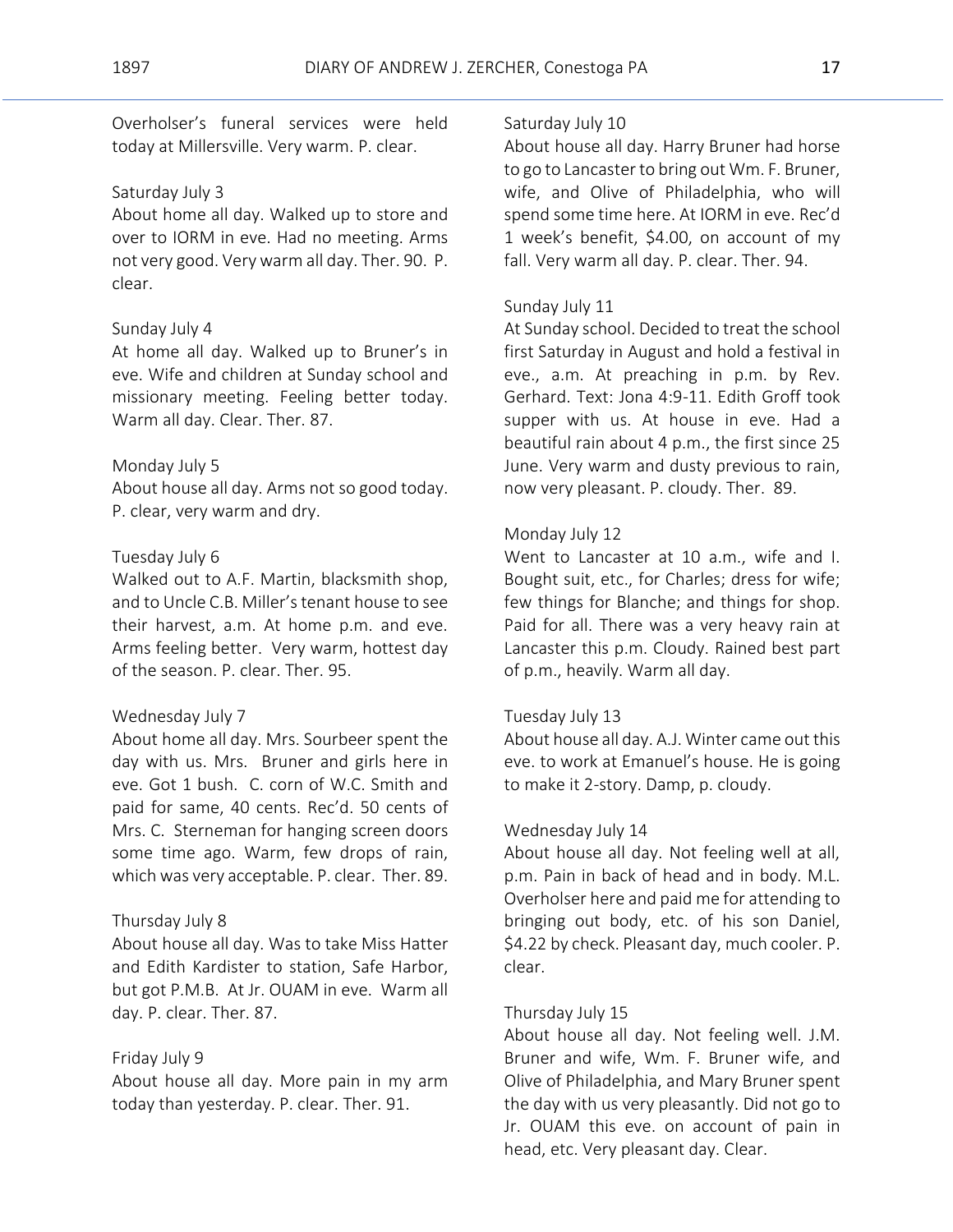Overholser's funeral services were held today at Millersville. Very warm. P. clear.

#### Saturday July 3

About home all day. Walked up to store and over to IORM in eve. Had no meeting. Arms not very good. Very warm all day. Ther. 90. P. clear.

### Sunday July 4

At home all day. Walked up to Bruner's in eve. Wife and children at Sunday school and missionary meeting. Feeling better today. Warm all day. Clear. Ther. 87.

#### Monday July 5

About house all day. Arms not so good today. P. clear, very warm and dry.

# Tuesday July 6

Walked out to A.F. Martin, blacksmith shop, and to Uncle C.B. Miller's tenant house to see their harvest, a.m. At home p.m. and eve. Arms feeling better. Very warm, hottest day of the season. P. clear. Ther. 95.

#### Wednesday July 7

About home all day. Mrs. Sourbeer spent the day with us. Mrs. Bruner and girls here in eve. Got 1 bush. C. corn of W.C. Smith and paid for same, 40 cents. Rec'd. 50 cents of Mrs. C. Sterneman for hanging screen doors some time ago. Warm, few drops of rain, which was very acceptable. P. clear. Ther. 89.

#### Thursday July 8

About house all day. Was to take Miss Hatter and Edith Kardister to station, Safe Harbor, but got P.M.B. At Jr. OUAM in eve. Warm all day. P. clear. Ther. 87.

#### Friday July 9

About house all day. More pain in my arm today than yesterday. P. clear. Ther. 91.

#### Saturday July 10

About house all day. Harry Bruner had horse to go to Lancaster to bring out Wm. F. Bruner, wife, and Olive of Philadelphia, who will spend some time here. At IORM in eve. Rec'd 1 week's benefit, \$4.00, on account of my fall. Very warm all day. P. clear. Ther. 94.

#### Sunday July 11

At Sunday school. Decided to treat the school first Saturday in August and hold a festival in eve., a.m. At preaching in p.m. by Rev. Gerhard. Text: Jona 4:9-11. Edith Groff took supper with us. At house in eve. Had a beautiful rain about 4 p.m., the first since 25 June. Very warm and dusty previous to rain, now very pleasant. P. cloudy. Ther. 89.

# Monday July 12

Went to Lancaster at 10 a.m., wife and I. Bought suit, etc., for Charles; dress for wife; few things for Blanche; and things for shop. Paid for all. There was a very heavy rain at Lancaster this p.m. Cloudy. Rained best part of p.m., heavily. Warm all day.

#### Tuesday July 13

About house all day. A.J. Winter came out this eve. to work at Emanuel's house. He is going to make it 2-story. Damp, p. cloudy.

# Wednesday July 14

About house all day. Not feeling well at all, p.m. Pain in back of head and in body. M.L. Overholser here and paid me for attending to bringing out body, etc. of his son Daniel, \$4.22 by check. Pleasant day, much cooler. P. clear.

### Thursday July 15

About house all day. Not feeling well. J.M. Bruner and wife, Wm. F. Bruner wife, and Olive of Philadelphia, and Mary Bruner spent the day with us very pleasantly. Did not go to Jr. OUAM this eve. on account of pain in head, etc. Very pleasant day. Clear.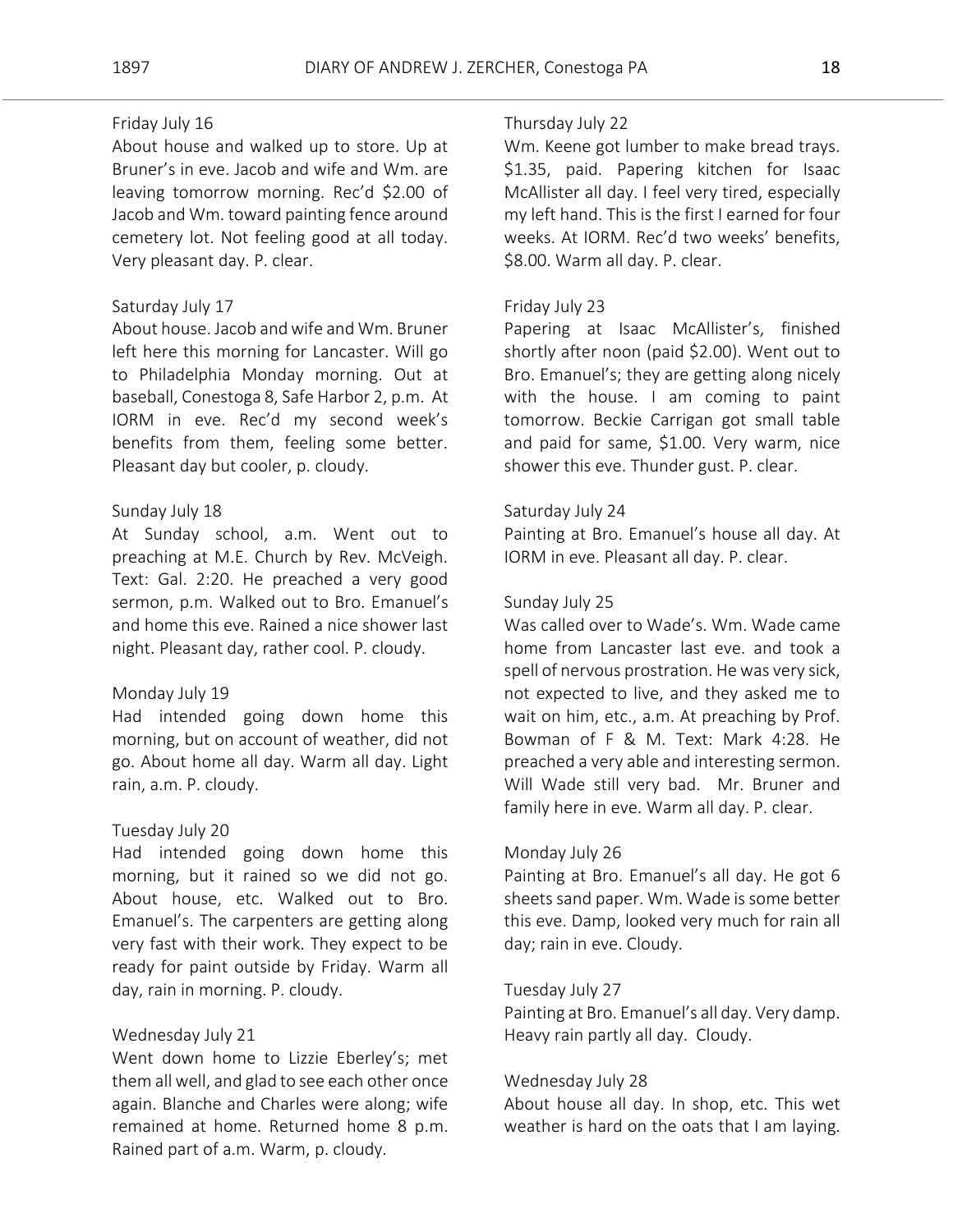# Friday July 16

About house and walked up to store. Up at Bruner's in eve. Jacob and wife and Wm. are leaving tomorrow morning. Rec'd \$2.00 of Jacob and Wm. toward painting fence around cemetery lot. Not feeling good at all today. Very pleasant day. P. clear.

# Saturday July 17

About house. Jacob and wife and Wm. Bruner left here this morning for Lancaster. Will go to Philadelphia Monday morning. Out at baseball, Conestoga 8, Safe Harbor 2, p.m. At IORM in eve. Rec'd my second week's benefits from them, feeling some better. Pleasant day but cooler, p. cloudy.

#### Sunday July 18

At Sunday school, a.m. Went out to preaching at M.E. Church by Rev. McVeigh. Text: Gal. 2:20. He preached a very good sermon, p.m. Walked out to Bro. Emanuel's and home this eve. Rained a nice shower last night. Pleasant day, rather cool. P. cloudy.

#### Monday July 19

Had intended going down home this morning, but on account of weather, did not go. About home all day. Warm all day. Light rain, a.m. P. cloudy.

#### Tuesday July 20

Had intended going down home this morning, but it rained so we did not go. About house, etc. Walked out to Bro. Emanuel's. The carpenters are getting along very fast with their work. They expect to be ready for paint outside by Friday. Warm all day, rain in morning. P. cloudy.

# Wednesday July 21

Went down home to Lizzie Eberley's; met them all well, and glad to see each other once again. Blanche and Charles were along; wife remained at home. Returned home 8 p.m. Rained part of a.m. Warm, p. cloudy.

#### Thursday July 22

Wm. Keene got lumber to make bread trays. \$1.35, paid. Papering kitchen for Isaac McAllister all day. I feel very tired, especially my left hand. This is the first I earned for four weeks. At IORM. Rec'd two weeks' benefits, \$8.00. Warm all day. P. clear.

#### Friday July 23

Papering at Isaac McAllister's, finished shortly after noon (paid \$2.00). Went out to Bro. Emanuel's; they are getting along nicely with the house. I am coming to paint tomorrow. Beckie Carrigan got small table and paid for same, \$1.00. Very warm, nice shower this eve. Thunder gust. P. clear.

# Saturday July 24

Painting at Bro. Emanuel's house all day. At IORM in eve. Pleasant all day. P. clear.

#### Sunday July 25

Was called over to Wade's. Wm. Wade came home from Lancaster last eve. and took a spell of nervous prostration. He was very sick, not expected to live, and they asked me to wait on him, etc., a.m. At preaching by Prof. Bowman of F & M. Text: Mark 4:28. He preached a very able and interesting sermon. Will Wade still very bad. Mr. Bruner and family here in eve. Warm all day. P. clear.

#### Monday July 26

Painting at Bro. Emanuel's all day. He got 6 sheets sand paper. Wm. Wade is some better this eve. Damp, looked very much for rain all day; rain in eve. Cloudy.

# Tuesday July 27

Painting at Bro. Emanuel's all day. Very damp. Heavy rain partly all day. Cloudy.

#### Wednesday July 28

About house all day. In shop, etc. This wet weather is hard on the oats that I am laying.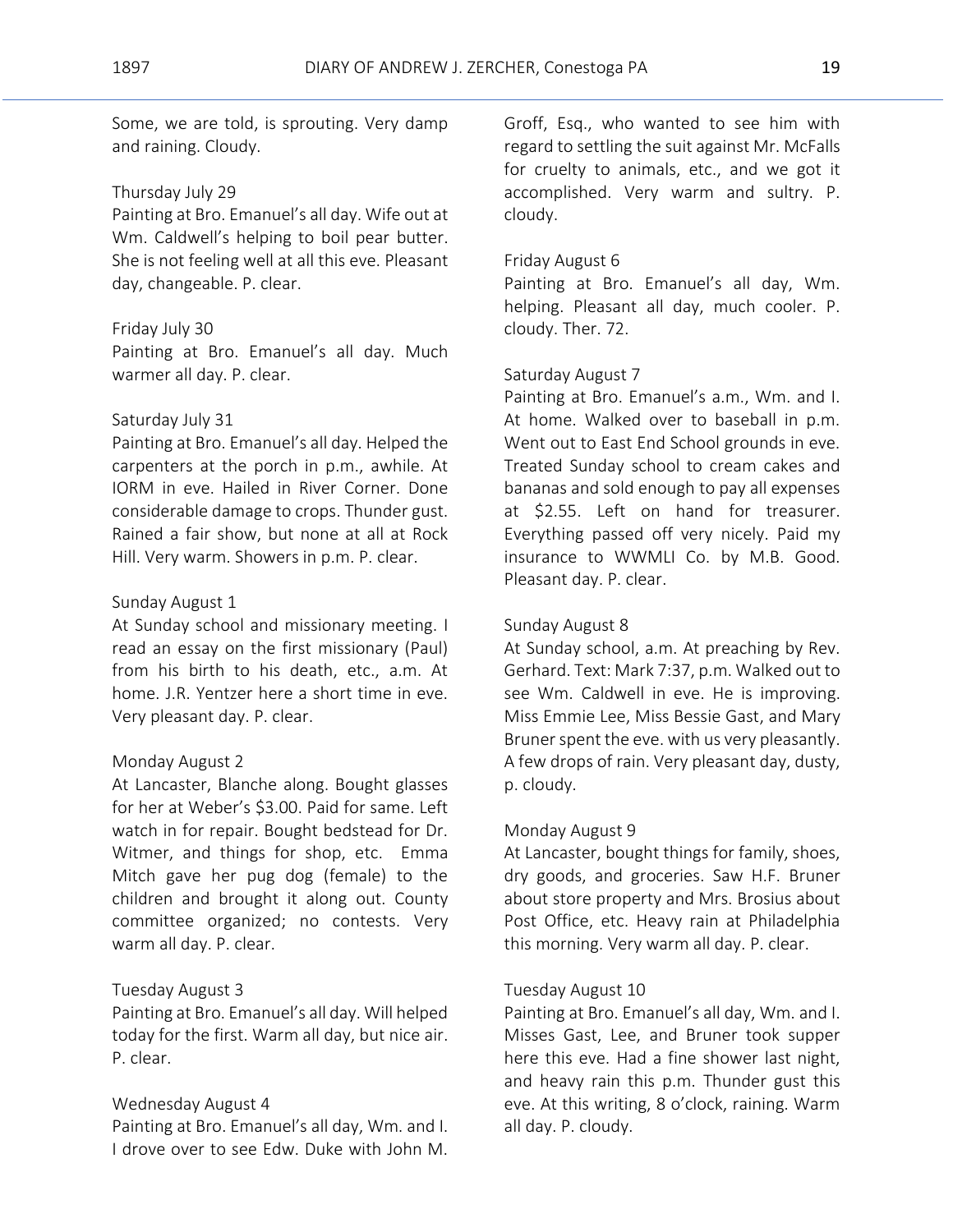Some, we are told, is sprouting. Very damp and raining. Cloudy.

#### Thursday July 29

Painting at Bro. Emanuel's all day. Wife out at Wm. Caldwell's helping to boil pear butter. She is not feeling well at all this eve. Pleasant day, changeable. P. clear.

### Friday July 30

Painting at Bro. Emanuel's all day. Much warmer all day. P. clear.

# Saturday July 31

Painting at Bro. Emanuel's all day. Helped the carpenters at the porch in p.m., awhile. At IORM in eve. Hailed in River Corner. Done considerable damage to crops. Thunder gust. Rained a fair show, but none at all at Rock Hill. Very warm. Showers in p.m. P. clear.

# Sunday August 1

At Sunday school and missionary meeting. I read an essay on the first missionary (Paul) from his birth to his death, etc., a.m. At home. J.R. Yentzer here a short time in eve. Very pleasant day. P. clear.

# Monday August 2

At Lancaster, Blanche along. Bought glasses for her at Weber's \$3.00. Paid for same. Left watch in for repair. Bought bedstead for Dr. Witmer, and things for shop, etc. Emma Mitch gave her pug dog (female) to the children and brought it along out. County committee organized; no contests. Very warm all day. P. clear.

### Tuesday August 3

Painting at Bro. Emanuel's all day. Will helped today for the first. Warm all day, but nice air. P. clear.

#### Wednesday August 4

Painting at Bro. Emanuel's all day, Wm. and I. I drove over to see Edw. Duke with John M.

Groff, Esq., who wanted to see him with regard to settling the suit against Mr. McFalls for cruelty to animals, etc., and we got it accomplished. Very warm and sultry. P. cloudy.

# Friday August 6

Painting at Bro. Emanuel's all day, Wm. helping. Pleasant all day, much cooler. P. cloudy. Ther. 72.

# Saturday August 7

Painting at Bro. Emanuel's a.m., Wm. and I. At home. Walked over to baseball in p.m. Went out to East End School grounds in eve. Treated Sunday school to cream cakes and bananas and sold enough to pay all expenses at \$2.55. Left on hand for treasurer. Everything passed off very nicely. Paid my insurance to WWMLI Co. by M.B. Good. Pleasant day. P. clear.

### Sunday August 8

At Sunday school, a.m. At preaching by Rev. Gerhard. Text: Mark 7:37, p.m. Walked out to see Wm. Caldwell in eve. He is improving. Miss Emmie Lee, Miss Bessie Gast, and Mary Bruner spent the eve. with us very pleasantly. A few drops of rain. Very pleasant day, dusty, p. cloudy.

#### Monday August 9

At Lancaster, bought things for family, shoes, dry goods, and groceries. Saw H.F. Bruner about store property and Mrs. Brosius about Post Office, etc. Heavy rain at Philadelphia this morning. Very warm all day. P. clear.

#### Tuesday August 10

Painting at Bro. Emanuel's all day, Wm. and I. Misses Gast, Lee, and Bruner took supper here this eve. Had a fine shower last night, and heavy rain this p.m. Thunder gust this eve. At this writing, 8 o'clock, raining. Warm all day. P. cloudy.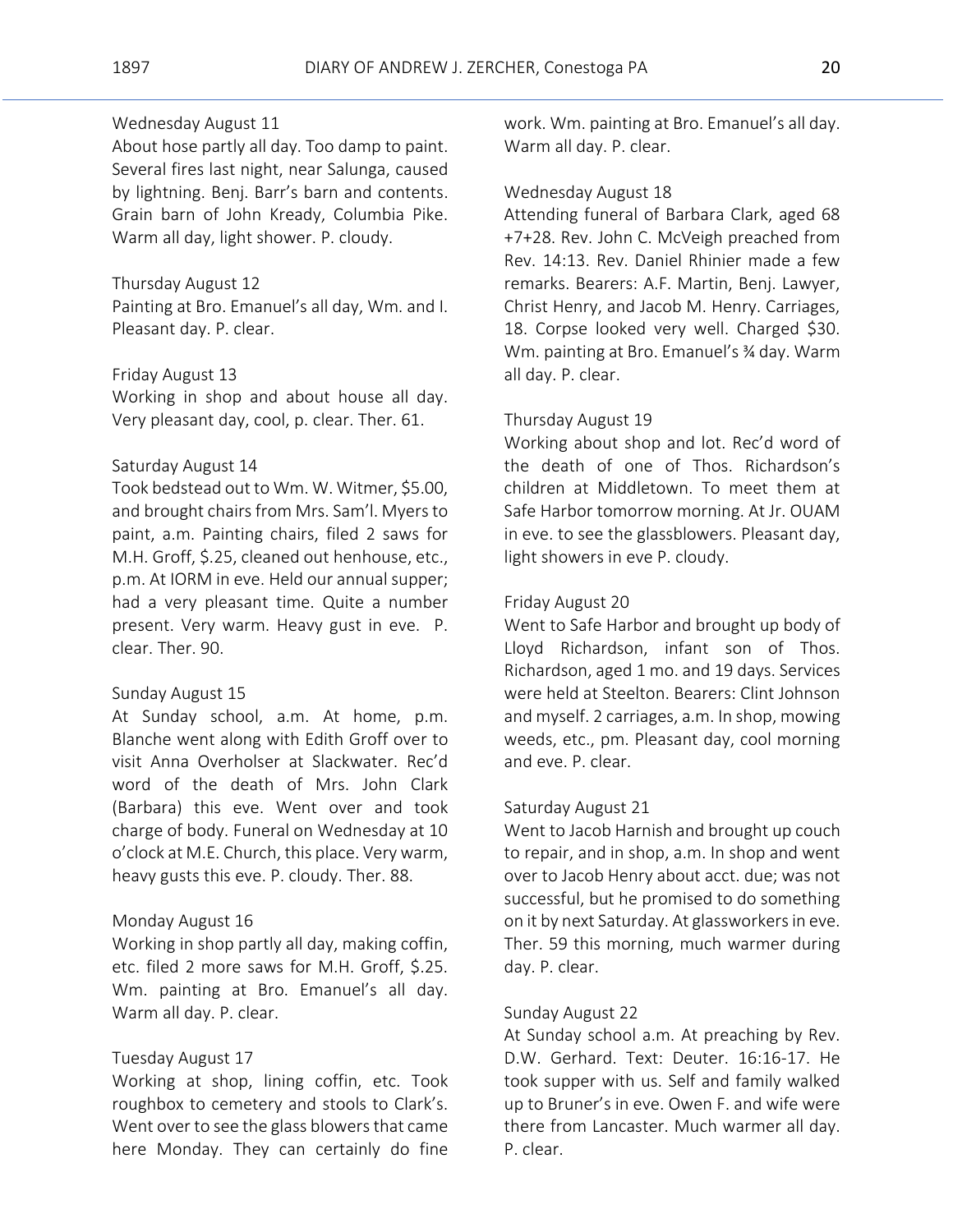# Wednesday August 11

About hose partly all day. Too damp to paint. Several fires last night, near Salunga, caused by lightning. Benj. Barr's barn and contents. Grain barn of John Kready, Columbia Pike. Warm all day, light shower. P. cloudy.

#### Thursday August 12

Painting at Bro. Emanuel's all day, Wm. and I. Pleasant day. P. clear.

### Friday August 13

Working in shop and about house all day. Very pleasant day, cool, p. clear. Ther. 61.

#### Saturday August 14

Took bedstead out to Wm. W. Witmer, \$5.00, and brought chairs from Mrs. Sam'l. Myers to paint, a.m. Painting chairs, filed 2 saws for M.H. Groff, \$.25, cleaned out henhouse, etc., p.m. At IORM in eve. Held our annual supper; had a very pleasant time. Quite a number present. Very warm. Heavy gust in eve. P. clear. Ther. 90.

#### Sunday August 15

At Sunday school, a.m. At home, p.m. Blanche went along with Edith Groff over to visit Anna Overholser at Slackwater. Rec'd word of the death of Mrs. John Clark (Barbara) this eve. Went over and took charge of body. Funeral on Wednesday at 10 o'clock at M.E. Church, this place. Very warm, heavy gusts this eve. P. cloudy. Ther. 88.

#### Monday August 16

Working in shop partly all day, making coffin, etc. filed 2 more saws for M.H. Groff, \$.25. Wm. painting at Bro. Emanuel's all day. Warm all day. P. clear.

#### Tuesday August 17

Working at shop, lining coffin, etc. Took roughbox to cemetery and stools to Clark's. Went over to see the glass blowers that came here Monday. They can certainly do fine

work. Wm. painting at Bro. Emanuel's all day. Warm all day. P. clear.

#### Wednesday August 18

Attending funeral of Barbara Clark, aged 68 +7+28. Rev. John C. McVeigh preached from Rev. 14:13. Rev. Daniel Rhinier made a few remarks. Bearers: A.F. Martin, Benj. Lawyer, Christ Henry, and Jacob M. Henry. Carriages, 18. Corpse looked very well. Charged \$30. Wm. painting at Bro. Emanuel's ¾ day. Warm all day. P. clear.

# Thursday August 19

Working about shop and lot. Rec'd word of the death of one of Thos. Richardson's children at Middletown. To meet them at Safe Harbor tomorrow morning. At Jr. OUAM in eve. to see the glassblowers. Pleasant day, light showers in eve P. cloudy.

#### Friday August 20

Went to Safe Harbor and brought up body of Lloyd Richardson, infant son of Thos. Richardson, aged 1 mo. and 19 days. Services were held at Steelton. Bearers: Clint Johnson and myself. 2 carriages, a.m. In shop, mowing weeds, etc., pm. Pleasant day, cool morning and eve. P. clear.

#### Saturday August 21

Went to Jacob Harnish and brought up couch to repair, and in shop, a.m. In shop and went over to Jacob Henry about acct. due; was not successful, but he promised to do something on it by next Saturday. At glassworkers in eve. Ther. 59 this morning, much warmer during day. P. clear.

### Sunday August 22

At Sunday school a.m. At preaching by Rev. D.W. Gerhard. Text: Deuter. 16:16-17. He took supper with us. Self and family walked up to Bruner's in eve. Owen F. and wife were there from Lancaster. Much warmer all day. P. clear.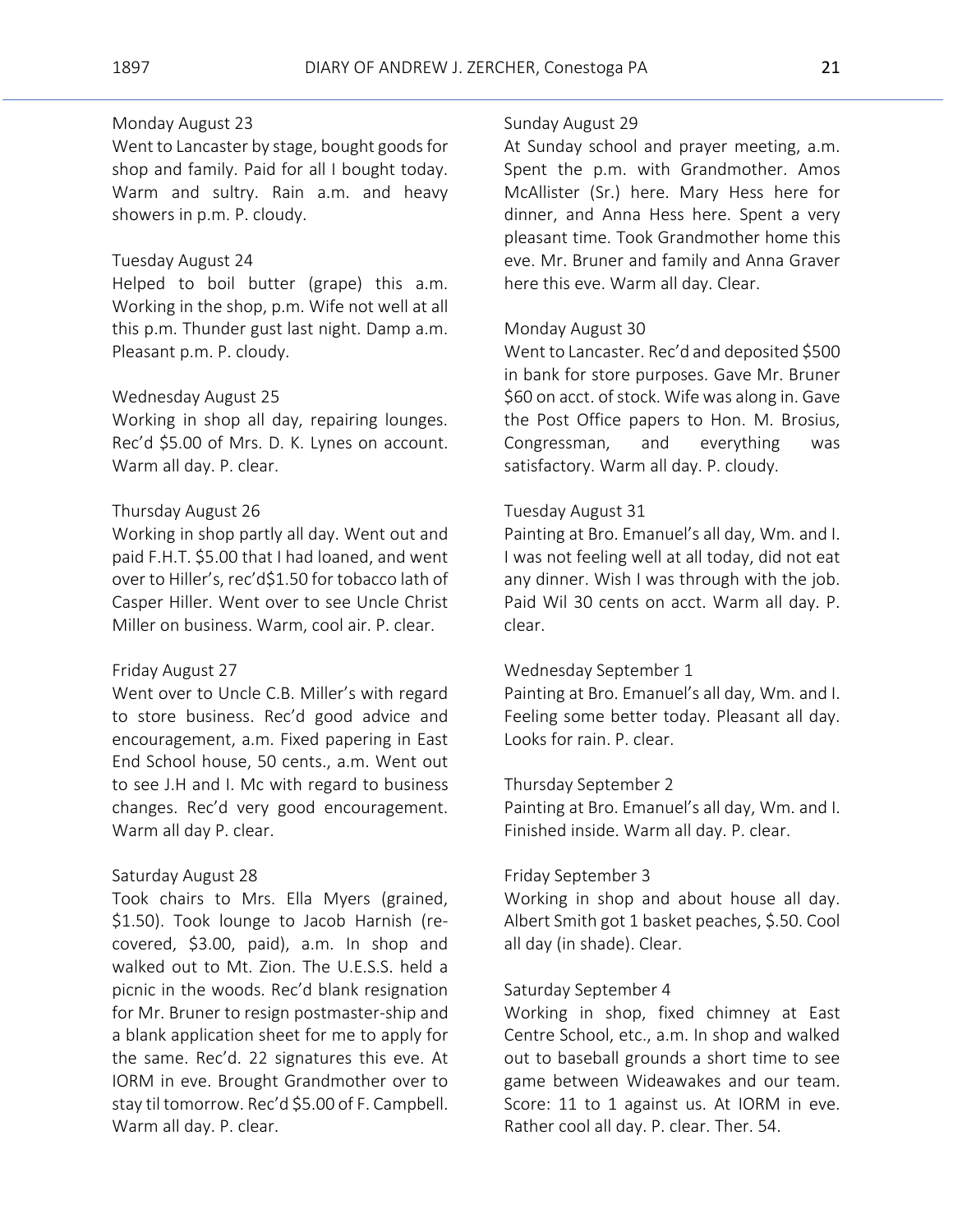# Monday August 23

Went to Lancaster by stage, bought goods for shop and family. Paid for all I bought today. Warm and sultry. Rain a.m. and heavy showers in p.m. P. cloudy.

# Tuesday August 24

Helped to boil butter (grape) this a.m. Working in the shop, p.m. Wife not well at all this p.m. Thunder gust last night. Damp a.m. Pleasant p.m. P. cloudy.

#### Wednesday August 25

Working in shop all day, repairing lounges. Rec'd \$5.00 of Mrs. D. K. Lynes on account. Warm all day. P. clear.

### Thursday August 26

Working in shop partly all day. Went out and paid F.H.T. \$5.00 that I had loaned, and went over to Hiller's, rec'd\$1.50 for tobacco lath of Casper Hiller. Went over to see Uncle Christ Miller on business. Warm, cool air. P. clear.

#### Friday August 27

Went over to Uncle C.B. Miller's with regard to store business. Rec'd good advice and encouragement, a.m. Fixed papering in East End School house, 50 cents., a.m. Went out to see J.H and I. Mc with regard to business changes. Rec'd very good encouragement. Warm all day P. clear.

#### Saturday August 28

Took chairs to Mrs. Ella Myers (grained, \$1.50). Took lounge to Jacob Harnish (recovered, \$3.00, paid), a.m. In shop and walked out to Mt. Zion. The U.E.S.S. held a picnic in the woods. Rec'd blank resignation for Mr. Bruner to resign postmaster-ship and a blank application sheet for me to apply for the same. Rec'd. 22 signatures this eve. At IORM in eve. Brought Grandmother over to stay til tomorrow. Rec'd \$5.00 of F. Campbell. Warm all day. P. clear.

#### Sunday August 29

At Sunday school and prayer meeting, a.m. Spent the p.m. with Grandmother. Amos McAllister (Sr.) here. Mary Hess here for dinner, and Anna Hess here. Spent a very pleasant time. Took Grandmother home this eve. Mr. Bruner and family and Anna Graver here this eve. Warm all day. Clear.

#### Monday August 30

Went to Lancaster. Rec'd and deposited \$500 in bank for store purposes. Gave Mr. Bruner \$60 on acct. of stock. Wife was along in. Gave the Post Office papers to Hon. M. Brosius, Congressman, and everything was satisfactory. Warm all day. P. cloudy.

### Tuesday August 31

Painting at Bro. Emanuel's all day, Wm. and I. I was not feeling well at all today, did not eat any dinner. Wish I was through with the job. Paid Wil 30 cents on acct. Warm all day. P. clear.

# Wednesday September 1

Painting at Bro. Emanuel's all day, Wm. and I. Feeling some better today. Pleasant all day. Looks for rain. P. clear.

#### Thursday September 2

Painting at Bro. Emanuel's all day, Wm. and I. Finished inside. Warm all day. P. clear.

#### Friday September 3

Working in shop and about house all day. Albert Smith got 1 basket peaches, \$.50. Cool all day (in shade). Clear.

### Saturday September 4

Working in shop, fixed chimney at East Centre School, etc., a.m. In shop and walked out to baseball grounds a short time to see game between Wideawakes and our team. Score: 11 to 1 against us. At IORM in eve. Rather cool all day. P. clear. Ther. 54.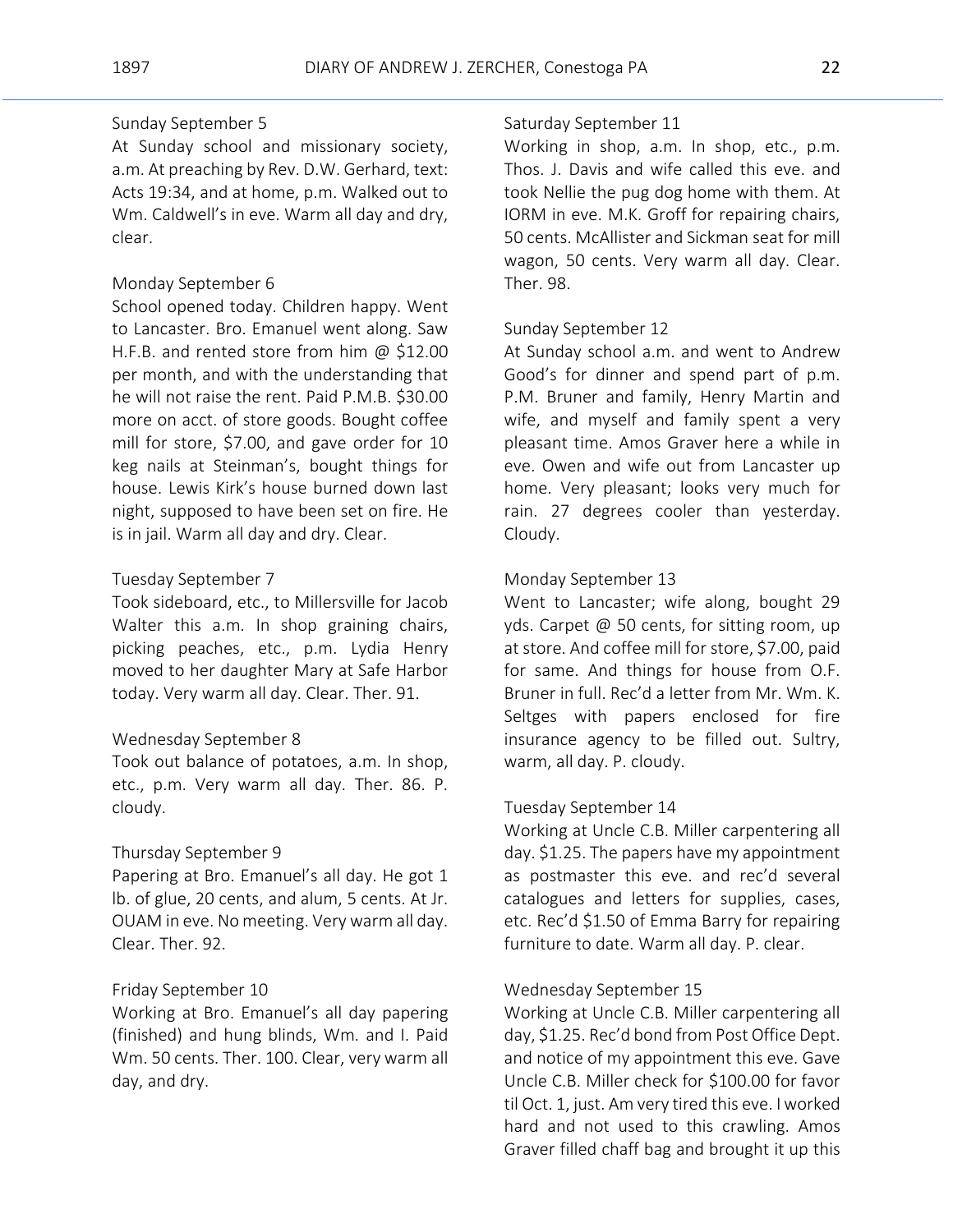# Sunday September 5

At Sunday school and missionary society, a.m. At preaching by Rev. D.W. Gerhard, text: Acts 19:34, and at home, p.m. Walked out to Wm. Caldwell's in eve. Warm all day and dry, clear.

# Monday September 6

School opened today. Children happy. Went to Lancaster. Bro. Emanuel went along. Saw H.F.B. and rented store from him @ \$12.00 per month, and with the understanding that he will not raise the rent. Paid P.M.B. \$30.00 more on acct. of store goods. Bought coffee mill for store, \$7.00, and gave order for 10 keg nails at Steinman's, bought things for house. Lewis Kirk's house burned down last night, supposed to have been set on fire. He is in jail. Warm all day and dry. Clear.

#### Tuesday September 7

Took sideboard, etc., to Millersville for Jacob Walter this a.m. In shop graining chairs, picking peaches, etc., p.m. Lydia Henry moved to her daughter Mary at Safe Harbor today. Very warm all day. Clear. Ther. 91.

# Wednesday September 8

Took out balance of potatoes, a.m. In shop, etc., p.m. Very warm all day. Ther. 86. P. cloudy.

#### Thursday September 9

Papering at Bro. Emanuel's all day. He got 1 lb. of glue, 20 cents, and alum, 5 cents. At Jr. OUAM in eve. No meeting. Very warm all day. Clear. Ther. 92.

# Friday September 10

Working at Bro. Emanuel's all day papering (finished) and hung blinds, Wm. and I. Paid Wm. 50 cents. Ther. 100. Clear, very warm all day, and dry.

# Saturday September 11

Working in shop, a.m. In shop, etc., p.m. Thos. J. Davis and wife called this eve. and took Nellie the pug dog home with them. At IORM in eve. M.K. Groff for repairing chairs, 50 cents. McAllister and Sickman seat for mill wagon, 50 cents. Very warm all day. Clear. Ther. 98.

#### Sunday September 12

At Sunday school a.m. and went to Andrew Good's for dinner and spend part of p.m. P.M. Bruner and family, Henry Martin and wife, and myself and family spent a very pleasant time. Amos Graver here a while in eve. Owen and wife out from Lancaster up home. Very pleasant; looks very much for rain. 27 degrees cooler than yesterday. Cloudy.

# Monday September 13

Went to Lancaster; wife along, bought 29 yds. Carpet @ 50 cents, for sitting room, up at store. And coffee mill for store, \$7.00, paid for same. And things for house from O.F. Bruner in full. Rec'd a letter from Mr. Wm. K. Seltges with papers enclosed for fire insurance agency to be filled out. Sultry, warm, all day. P. cloudy.

#### Tuesday September 14

Working at Uncle C.B. Miller carpentering all day. \$1.25. The papers have my appointment as postmaster this eve. and rec'd several catalogues and letters for supplies, cases, etc. Rec'd \$1.50 of Emma Barry for repairing furniture to date. Warm all day. P. clear.

#### Wednesday September 15

Working at Uncle C.B. Miller carpentering all day, \$1.25. Rec'd bond from Post Office Dept. and notice of my appointment this eve. Gave Uncle C.B. Miller check for \$100.00 for favor til Oct. 1, just. Am very tired this eve. I worked hard and not used to this crawling. Amos Graver filled chaff bag and brought it up this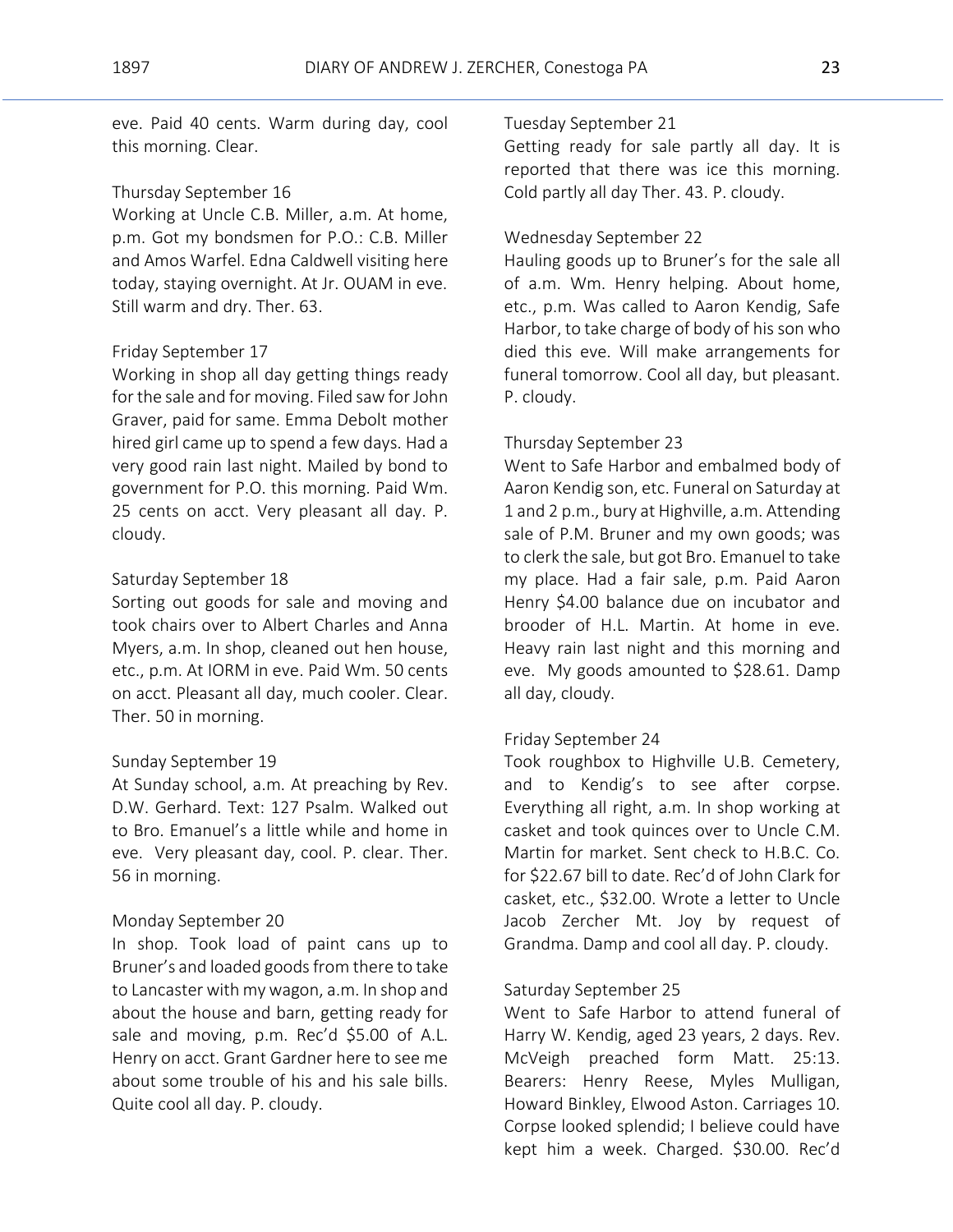eve. Paid 40 cents. Warm during day, cool this morning. Clear.

# Thursday September 16

Working at Uncle C.B. Miller, a.m. At home, p.m. Got my bondsmen for P.O.: C.B. Miller and Amos Warfel. Edna Caldwell visiting here today, staying overnight. At Jr. OUAM in eve. Still warm and dry. Ther. 63.

# Friday September 17

Working in shop all day getting things ready for the sale and for moving. Filed saw for John Graver, paid for same. Emma Debolt mother hired girl came up to spend a few days. Had a very good rain last night. Mailed by bond to government for P.O. this morning. Paid Wm. 25 cents on acct. Very pleasant all day. P. cloudy.

# Saturday September 18

Sorting out goods for sale and moving and took chairs over to Albert Charles and Anna Myers, a.m. In shop, cleaned out hen house, etc., p.m. At IORM in eve. Paid Wm. 50 cents on acct. Pleasant all day, much cooler. Clear. Ther. 50 in morning.

#### Sunday September 19

At Sunday school, a.m. At preaching by Rev. D.W. Gerhard. Text: 127 Psalm. Walked out to Bro. Emanuel's a little while and home in eve. Very pleasant day, cool. P. clear. Ther. 56 in morning.

#### Monday September 20

In shop. Took load of paint cans up to Bruner's and loaded goods from there to take to Lancaster with my wagon, a.m. In shop and about the house and barn, getting ready for sale and moving, p.m. Rec'd \$5.00 of A.L. Henry on acct. Grant Gardner here to see me about some trouble of his and his sale bills. Quite cool all day. P. cloudy.

# Tuesday September 21

Getting ready for sale partly all day. It is reported that there was ice this morning. Cold partly all day Ther. 43. P. cloudy.

### Wednesday September 22

Hauling goods up to Bruner's for the sale all of a.m. Wm. Henry helping. About home, etc., p.m. Was called to Aaron Kendig, Safe Harbor, to take charge of body of his son who died this eve. Will make arrangements for funeral tomorrow. Cool all day, but pleasant. P. cloudy.

### Thursday September 23

Went to Safe Harbor and embalmed body of Aaron Kendig son, etc. Funeral on Saturday at 1 and 2 p.m., bury at Highville, a.m. Attending sale of P.M. Bruner and my own goods; was to clerk the sale, but got Bro. Emanuel to take my place. Had a fair sale, p.m. Paid Aaron Henry \$4.00 balance due on incubator and brooder of H.L. Martin. At home in eve. Heavy rain last night and this morning and eve. My goods amounted to \$28.61. Damp all day, cloudy.

#### Friday September 24

Took roughbox to Highville U.B. Cemetery, and to Kendig's to see after corpse. Everything all right, a.m. In shop working at casket and took quinces over to Uncle C.M. Martin for market. Sent check to H.B.C. Co. for \$22.67 bill to date. Rec'd of John Clark for casket, etc., \$32.00. Wrote a letter to Uncle Jacob Zercher Mt. Joy by request of Grandma. Damp and cool all day. P. cloudy.

### Saturday September 25

Went to Safe Harbor to attend funeral of Harry W. Kendig, aged 23 years, 2 days. Rev. McVeigh preached form Matt. 25:13. Bearers: Henry Reese, Myles Mulligan, Howard Binkley, Elwood Aston. Carriages 10. Corpse looked splendid; I believe could have kept him a week. Charged. \$30.00. Rec'd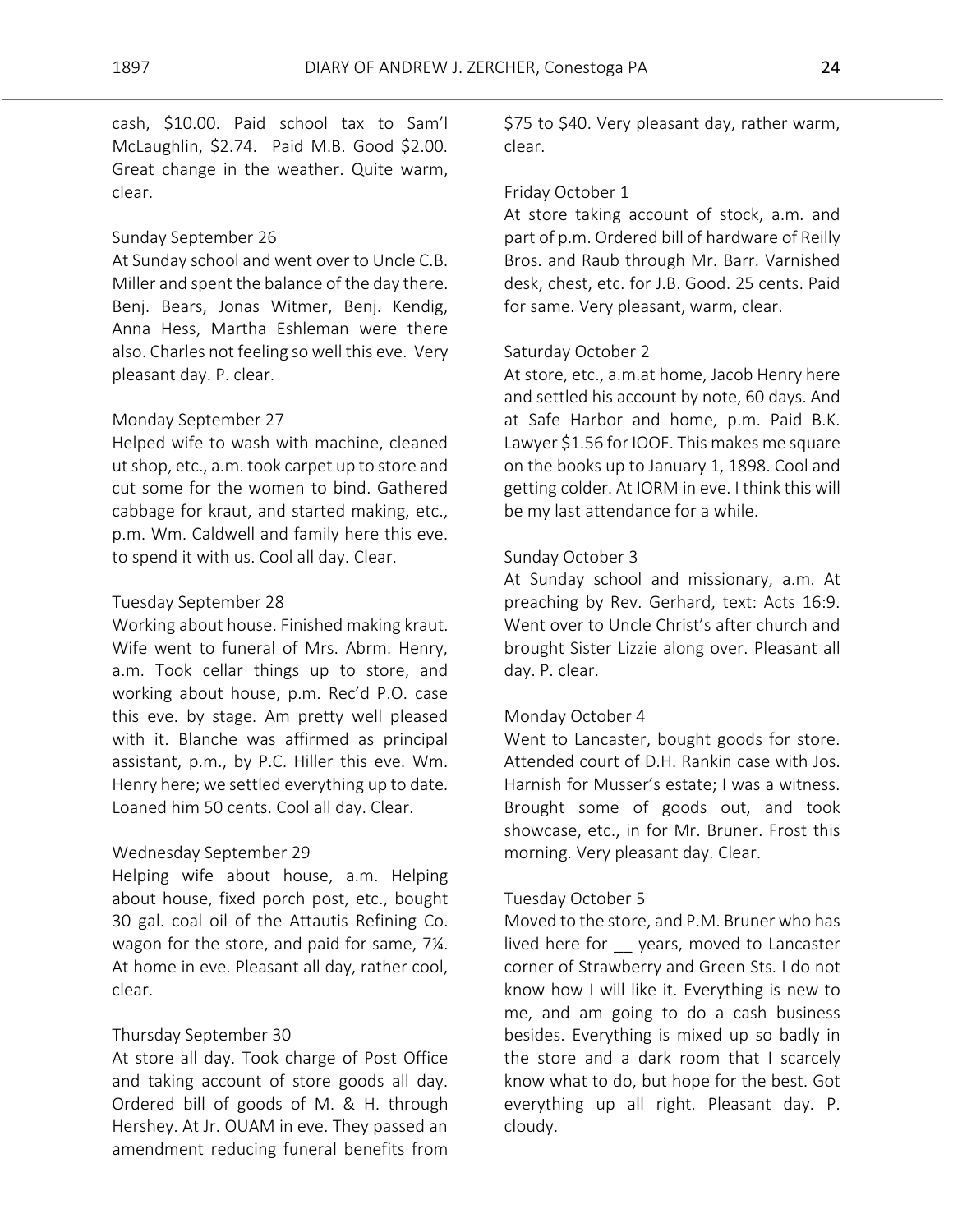cash, \$10.00. Paid school tax to Sam'l McLaughlin, \$2.74. Paid M.B. Good \$2.00. Great change in the weather. Quite warm, clear.

#### Sunday September 26

At Sunday school and went over to Uncle C.B. Miller and spent the balance of the day there. Benj. Bears, Jonas Witmer, Benj. Kendig, Anna Hess, Martha Eshleman were there also. Charles not feeling so well this eve. Very pleasant day. P. clear.

# Monday September 27

Helped wife to wash with machine, cleaned ut shop, etc., a.m. took carpet up to store and cut some for the women to bind. Gathered cabbage for kraut, and started making, etc., p.m. Wm. Caldwell and family here this eve. to spend it with us. Cool all day. Clear.

#### Tuesday September 28

Working about house. Finished making kraut. Wife went to funeral of Mrs. Abrm. Henry, a.m. Took cellar things up to store, and working about house, p.m. Rec'd P.O. case this eve. by stage. Am pretty well pleased with it. Blanche was affirmed as principal assistant, p.m., by P.C. Hiller this eve. Wm. Henry here; we settled everything up to date. Loaned him 50 cents. Cool all day. Clear.

#### Wednesday September 29

Helping wife about house, a.m. Helping about house, fixed porch post, etc., bought 30 gal. coal oil of the Attautis Refining Co. wagon for the store, and paid for same, 7¼. At home in eve. Pleasant all day, rather cool, clear.

# Thursday September 30

At store all day. Took charge of Post Office and taking account of store goods all day. Ordered bill of goods of M. & H. through Hershey. At Jr. OUAM in eve. They passed an amendment reducing funeral benefits from

\$75 to \$40. Very pleasant day, rather warm, clear.

#### Friday October 1

At store taking account of stock, a.m. and part of p.m. Ordered bill of hardware of Reilly Bros. and Raub through Mr. Barr. Varnished desk, chest, etc. for J.B. Good. 25 cents. Paid for same. Very pleasant, warm, clear.

#### Saturday October 2

At store, etc., a.m.at home, Jacob Henry here and settled his account by note, 60 days. And at Safe Harbor and home, p.m. Paid B.K. Lawyer \$1.56 for IOOF. This makes me square on the books up to January 1, 1898. Cool and getting colder. At IORM in eve. I think this will be my last attendance for a while.

#### Sunday October 3

At Sunday school and missionary, a.m. At preaching by Rev. Gerhard, text: Acts 16:9. Went over to Uncle Christ's after church and brought Sister Lizzie along over. Pleasant all day. P. clear.

#### Monday October 4

Went to Lancaster, bought goods for store. Attended court of D.H. Rankin case with Jos. Harnish for Musser's estate; I was a witness. Brought some of goods out, and took showcase, etc., in for Mr. Bruner. Frost this morning. Very pleasant day. Clear.

#### Tuesday October 5

Moved to the store, and P.M. Bruner who has lived here for \_\_ years, moved to Lancaster corner of Strawberry and Green Sts. I do not know how I will like it. Everything is new to me, and am going to do a cash business besides. Everything is mixed up so badly in the store and a dark room that I scarcely know what to do, but hope for the best. Got everything up all right. Pleasant day. P. cloudy.